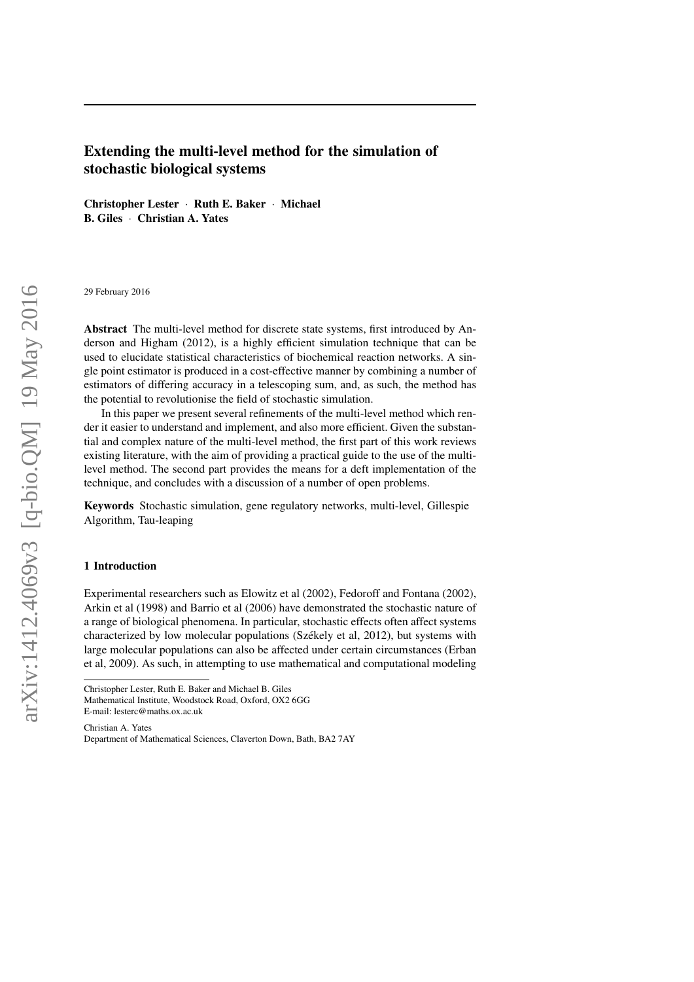# Extending the multi-level method for the simulation of stochastic biological systems

Christopher Lester · Ruth E. Baker · Michael B. Giles · Christian A. Yates

29 February 2016

Abstract The multi-level method for discrete state systems, first introduced by Anderson and Higham (2012), is a highly efficient simulation technique that can be used to elucidate statistical characteristics of biochemical reaction networks. A single point estimator is produced in a cost-effective manner by combining a number of estimators of differing accuracy in a telescoping sum, and, as such, the method has the potential to revolutionise the field of stochastic simulation.

In this paper we present several refinements of the multi-level method which render it easier to understand and implement, and also more efficient. Given the substantial and complex nature of the multi-level method, the first part of this work reviews existing literature, with the aim of providing a practical guide to the use of the multilevel method. The second part provides the means for a deft implementation of the technique, and concludes with a discussion of a number of open problems.

Keywords Stochastic simulation, gene regulatory networks, multi-level, Gillespie Algorithm, Tau-leaping

## 1 Introduction

Experimental researchers such as Elowitz et al (2002), Fedoroff and Fontana (2002), Arkin et al (1998) and Barrio et al (2006) have demonstrated the stochastic nature of a range of biological phenomena. In particular, stochastic effects often affect systems characterized by low molecular populations (Székely et al. 2012), but systems with large molecular populations can also be affected under certain circumstances (Erban et al, 2009). As such, in attempting to use mathematical and computational modeling

Christian A. Yates Department of Mathematical Sciences, Claverton Down, Bath, BA2 7AY

Christopher Lester, Ruth E. Baker and Michael B. Giles Mathematical Institute, Woodstock Road, Oxford, OX2 6GG E-mail: lesterc@maths.ox.ac.uk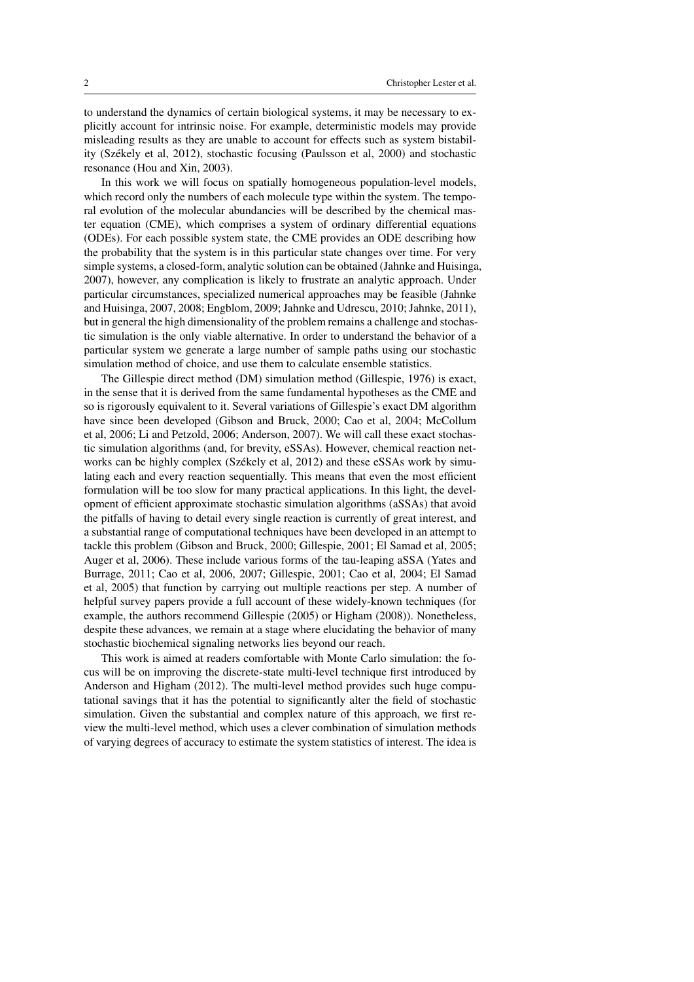to understand the dynamics of certain biological systems, it may be necessary to explicitly account for intrinsic noise. For example, deterministic models may provide misleading results as they are unable to account for effects such as system bistability (Szekely et al, 2012), stochastic focusing (Paulsson et al, 2000) and stochastic ´ resonance (Hou and Xin, 2003).

In this work we will focus on spatially homogeneous population-level models, which record only the numbers of each molecule type within the system. The temporal evolution of the molecular abundancies will be described by the chemical master equation (CME), which comprises a system of ordinary differential equations (ODEs). For each possible system state, the CME provides an ODE describing how the probability that the system is in this particular state changes over time. For very simple systems, a closed-form, analytic solution can be obtained (Jahnke and Huisinga, 2007), however, any complication is likely to frustrate an analytic approach. Under particular circumstances, specialized numerical approaches may be feasible (Jahnke and Huisinga, 2007, 2008; Engblom, 2009; Jahnke and Udrescu, 2010; Jahnke, 2011), but in general the high dimensionality of the problem remains a challenge and stochastic simulation is the only viable alternative. In order to understand the behavior of a particular system we generate a large number of sample paths using our stochastic simulation method of choice, and use them to calculate ensemble statistics.

The Gillespie direct method (DM) simulation method (Gillespie, 1976) is exact, in the sense that it is derived from the same fundamental hypotheses as the CME and so is rigorously equivalent to it. Several variations of Gillespie's exact DM algorithm have since been developed (Gibson and Bruck, 2000; Cao et al, 2004; McCollum et al, 2006; Li and Petzold, 2006; Anderson, 2007). We will call these exact stochastic simulation algorithms (and, for brevity, eSSAs). However, chemical reaction networks can be highly complex (Székely et al, 2012) and these eSSAs work by simulating each and every reaction sequentially. This means that even the most efficient formulation will be too slow for many practical applications. In this light, the development of efficient approximate stochastic simulation algorithms (aSSAs) that avoid the pitfalls of having to detail every single reaction is currently of great interest, and a substantial range of computational techniques have been developed in an attempt to tackle this problem (Gibson and Bruck, 2000; Gillespie, 2001; El Samad et al, 2005; Auger et al, 2006). These include various forms of the tau-leaping aSSA (Yates and Burrage, 2011; Cao et al, 2006, 2007; Gillespie, 2001; Cao et al, 2004; El Samad et al, 2005) that function by carrying out multiple reactions per step. A number of helpful survey papers provide a full account of these widely-known techniques (for example, the authors recommend Gillespie (2005) or Higham (2008)). Nonetheless, despite these advances, we remain at a stage where elucidating the behavior of many stochastic biochemical signaling networks lies beyond our reach.

This work is aimed at readers comfortable with Monte Carlo simulation: the focus will be on improving the discrete-state multi-level technique first introduced by Anderson and Higham (2012). The multi-level method provides such huge computational savings that it has the potential to significantly alter the field of stochastic simulation. Given the substantial and complex nature of this approach, we first review the multi-level method, which uses a clever combination of simulation methods of varying degrees of accuracy to estimate the system statistics of interest. The idea is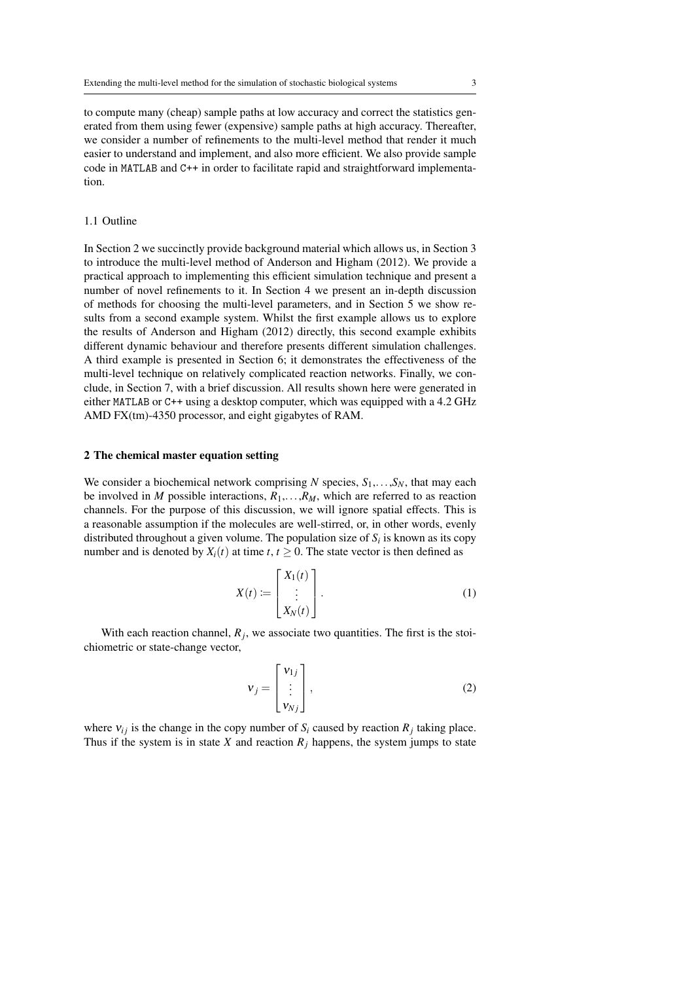to compute many (cheap) sample paths at low accuracy and correct the statistics generated from them using fewer (expensive) sample paths at high accuracy. Thereafter, we consider a number of refinements to the multi-level method that render it much easier to understand and implement, and also more efficient. We also provide sample code in MATLAB and C++ in order to facilitate rapid and straightforward implementation.

## 1.1 Outline

In Section 2 we succinctly provide background material which allows us, in Section 3 to introduce the multi-level method of Anderson and Higham (2012). We provide a practical approach to implementing this efficient simulation technique and present a number of novel refinements to it. In Section 4 we present an in-depth discussion of methods for choosing the multi-level parameters, and in Section 5 we show results from a second example system. Whilst the first example allows us to explore the results of Anderson and Higham (2012) directly, this second example exhibits different dynamic behaviour and therefore presents different simulation challenges. A third example is presented in Section 6; it demonstrates the effectiveness of the multi-level technique on relatively complicated reaction networks. Finally, we conclude, in Section 7, with a brief discussion. All results shown here were generated in either MATLAB or C++ using a desktop computer, which was equipped with a 4.2 GHz AMD FX(tm)-4350 processor, and eight gigabytes of RAM.

# 2 The chemical master equation setting

We consider a biochemical network comprising *N* species,  $S_1, \ldots, S_N$ , that may each be involved in *M* possible interactions,  $R_1, \ldots, R_M$ , which are referred to as reaction channels. For the purpose of this discussion, we will ignore spatial effects. This is a reasonable assumption if the molecules are well-stirred, or, in other words, evenly distributed throughout a given volume. The population size of  $S_i$  is known as its copy number and is denoted by  $X_i(t)$  at time  $t, t \geq 0$ . The state vector is then defined as

$$
X(t) := \begin{bmatrix} X_1(t) \\ \vdots \\ X_N(t) \end{bmatrix} .
$$
 (1)

With each reaction channel,  $R_j$ , we associate two quantities. The first is the stoichiometric or state-change vector,

$$
\mathbf{v}_j = \begin{bmatrix} \mathbf{v}_{1j} \\ \vdots \\ \mathbf{v}_{Nj} \end{bmatrix},\tag{2}
$$

where  $v_{ij}$  is the change in the copy number of  $S_i$  caused by reaction  $R_j$  taking place. Thus if the system is in state *X* and reaction  $R_j$  happens, the system jumps to state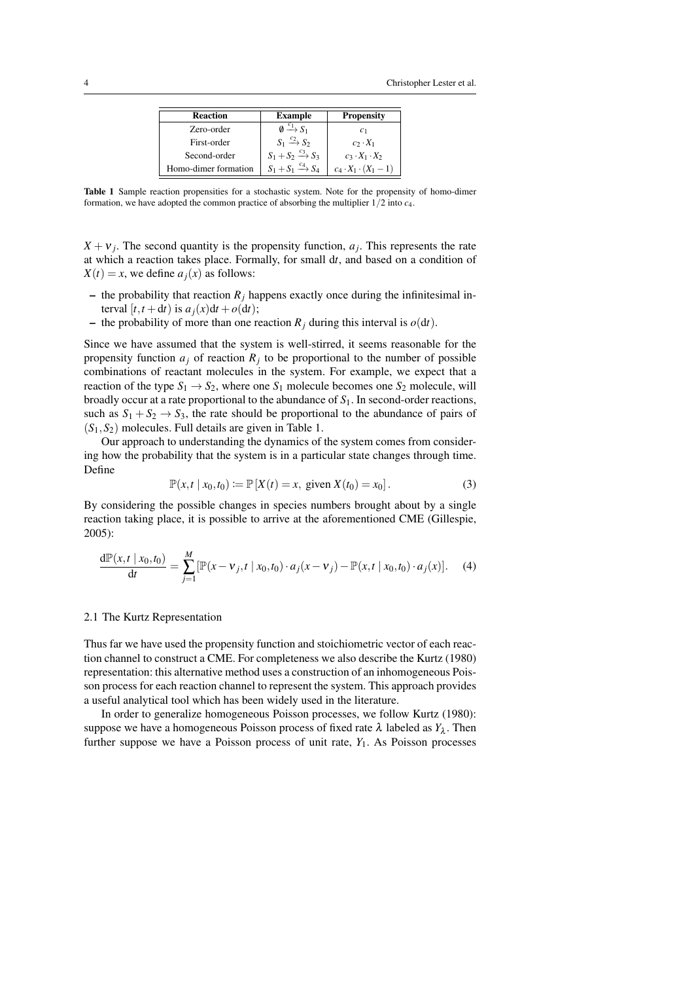| <b>Reaction</b>      | <b>Example</b>                    | <b>Propensity</b>               |
|----------------------|-----------------------------------|---------------------------------|
| Zero-order           | $\emptyset \xrightarrow{c_1} S_1$ | c <sub>1</sub>                  |
| First-order          | $S_1 \xrightarrow{c_2} S_2$       | $c_2 \cdot X_1$                 |
| Second-order         | $S_1 + S_2 \xrightarrow{c_3} S_3$ | $c_3 \cdot X_1 \cdot X_2$       |
| Homo-dimer formation | $S_1 + S_1 \xrightarrow{c_4} S_4$ | $c_4 \cdot X_1 \cdot (X_1 - 1)$ |

Table 1 Sample reaction propensities for a stochastic system. Note for the propensity of homo-dimer formation, we have adopted the common practice of absorbing the multiplier 1/2 into *c*4.

 $X + v_j$ . The second quantity is the propensity function,  $a_j$ . This represents the rate at which a reaction takes place. Formally, for small d*t*, and based on a condition of  $X(t) = x$ , we define  $a_j(x)$  as follows:

- the probability that reaction  $R_j$  happens exactly once during the infinitesimal interval  $[t, t + dt)$  is  $a_i(x)dt + o(dt)$ ;
- the probability of more than one reaction  $R_i$  during this interval is  $o(dt)$ .

Since we have assumed that the system is well-stirred, it seems reasonable for the propensity function  $a_j$  of reaction  $R_j$  to be proportional to the number of possible combinations of reactant molecules in the system. For example, we expect that a reaction of the type  $S_1 \rightarrow S_2$ , where one  $S_1$  molecule becomes one  $S_2$  molecule, will broadly occur at a rate proportional to the abundance of *S*1. In second-order reactions, such as  $S_1 + S_2 \rightarrow S_3$ , the rate should be proportional to the abundance of pairs of (*S*1,*S*2) molecules. Full details are given in Table 1.

Our approach to understanding the dynamics of the system comes from considering how the probability that the system is in a particular state changes through time. Define

$$
\mathbb{P}(x,t \mid x_0,t_0) := \mathbb{P}[X(t) = x, \text{ given } X(t_0) = x_0]. \tag{3}
$$

By considering the possible changes in species numbers brought about by a single reaction taking place, it is possible to arrive at the aforementioned CME (Gillespie, 2005):

$$
\frac{d\mathbb{P}(x,t \mid x_0,t_0)}{dt} = \sum_{j=1}^{M} [\mathbb{P}(x-v_j,t \mid x_0,t_0) \cdot a_j(x-v_j) - \mathbb{P}(x,t \mid x_0,t_0) \cdot a_j(x)]. \tag{4}
$$

# 2.1 The Kurtz Representation

Thus far we have used the propensity function and stoichiometric vector of each reaction channel to construct a CME. For completeness we also describe the Kurtz (1980) representation: this alternative method uses a construction of an inhomogeneous Poisson process for each reaction channel to represent the system. This approach provides a useful analytical tool which has been widely used in the literature.

In order to generalize homogeneous Poisson processes, we follow Kurtz (1980): suppose we have a homogeneous Poisson process of fixed rate  $\lambda$  labeled as  $Y_{\lambda}$ . Then further suppose we have a Poisson process of unit rate, *Y*1. As Poisson processes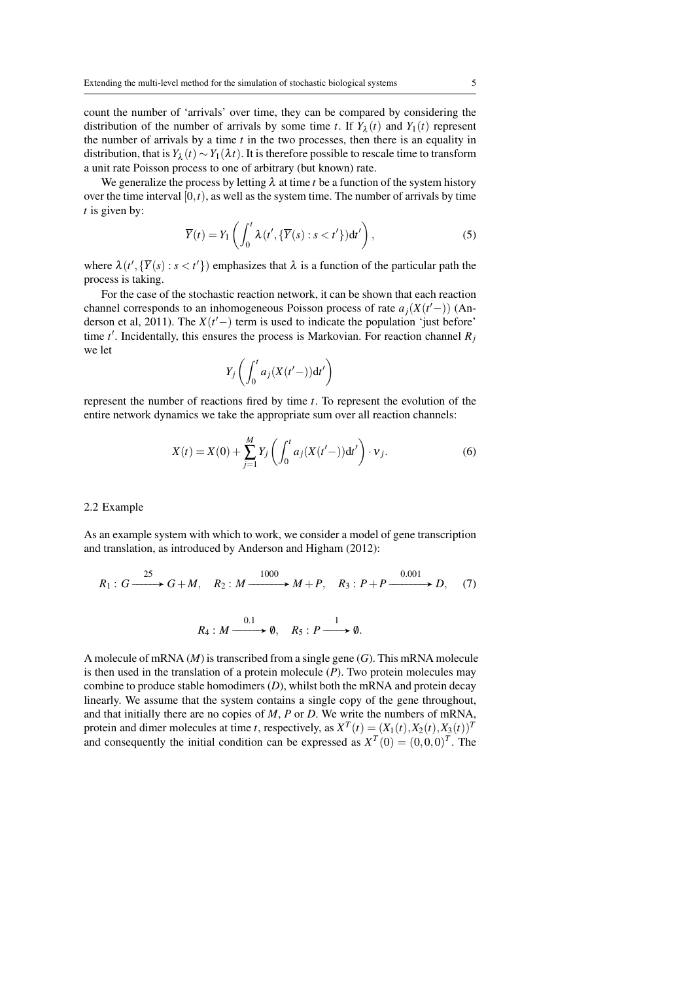count the number of 'arrivals' over time, they can be compared by considering the distribution of the number of arrivals by some time *t*. If  $Y_{\lambda}(t)$  and  $Y_1(t)$  represent the number of arrivals by a time  $t$  in the two processes, then there is an equality in distribution, that is  $Y_{\lambda}(t) \sim Y_1(\lambda t)$ . It is therefore possible to rescale time to transform a unit rate Poisson process to one of arbitrary (but known) rate.

We generalize the process by letting  $\lambda$  at time *t* be a function of the system history over the time interval  $[0,t)$ , as well as the system time. The number of arrivals by time *t* is given by:

$$
\overline{Y}(t) = Y_1\left(\int_0^t \lambda(t', \{\overline{Y}(s) : s < t'\}) dt'\right),\tag{5}
$$

where  $\lambda(t', \{\overline{Y}(s) : s < t'\})$  emphasizes that  $\lambda$  is a function of the particular path the process is taking.

For the case of the stochastic reaction network, it can be shown that each reaction channel corresponds to an inhomogeneous Poisson process of rate  $a_j(X(t-))$  (Anderson et al, 2011). The  $X(t'$  term is used to indicate the population 'just before' time  $t'$ . Incidentally, this ensures the process is Markovian. For reaction channel  $R_j$ we let

$$
Y_j\left(\int_0^t a_j(X(t'-))\mathrm{d}t'\right)
$$

represent the number of reactions fired by time *t*. To represent the evolution of the entire network dynamics we take the appropriate sum over all reaction channels:

$$
X(t) = X(0) + \sum_{j=1}^{M} Y_j \left( \int_0^t a_j (X(t'-)) dt' \right) \cdot v_j.
$$
 (6)

#### 2.2 Example

As an example system with which to work, we consider a model of gene transcription and translation, as introduced by Anderson and Higham (2012):

$$
R_1: G \xrightarrow{\phantom{a}\phantom{a}\phantom{a}} G + M, \quad R_2: M \xrightarrow{\phantom{a}\phantom{a}\phantom{a}} M + P, \quad R_3: P + P \xrightarrow{\phantom{a}\phantom{a}\phantom{a}\phantom{a}} O(7)
$$

$$
R_4: M \xrightarrow{0.1} \emptyset, \quad R_5: P \xrightarrow{1} \emptyset.
$$

A molecule of mRNA (*M*) is transcribed from a single gene (*G*). This mRNA molecule is then used in the translation of a protein molecule (*P*). Two protein molecules may combine to produce stable homodimers (*D*), whilst both the mRNA and protein decay linearly. We assume that the system contains a single copy of the gene throughout, and that initially there are no copies of *M*, *P* or *D*. We write the numbers of mRNA, protein and dimer molecules at time *t*, respectively, as  $X^T(t) = (X_1(t), X_2(t), X_3(t))^T$ and consequently the initial condition can be expressed as  $X^T(0) = (0,0,0)^T$ . The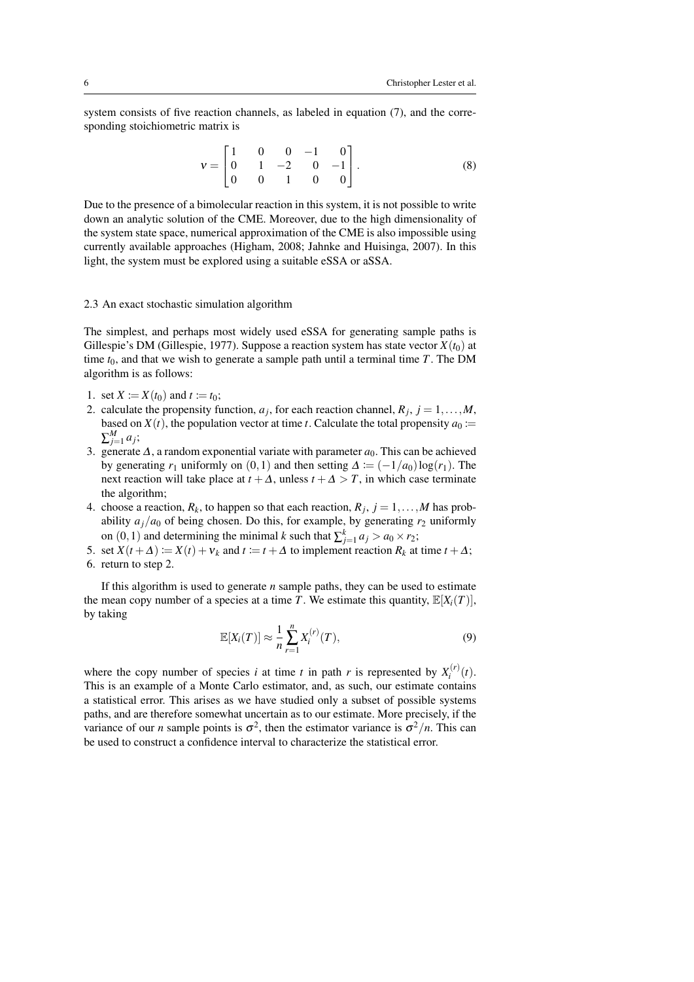system consists of five reaction channels, as labeled in equation (7), and the corresponding stoichiometric matrix is

$$
\mathbf{v} = \begin{bmatrix} 1 & 0 & 0 & -1 & 0 \\ 0 & 1 & -2 & 0 & -1 \\ 0 & 0 & 1 & 0 & 0 \end{bmatrix} . \tag{8}
$$

Due to the presence of a bimolecular reaction in this system, it is not possible to write down an analytic solution of the CME. Moreover, due to the high dimensionality of the system state space, numerical approximation of the CME is also impossible using currently available approaches (Higham, 2008; Jahnke and Huisinga, 2007). In this light, the system must be explored using a suitable eSSA or aSSA.

# 2.3 An exact stochastic simulation algorithm

The simplest, and perhaps most widely used eSSA for generating sample paths is Gillespie's DM (Gillespie, 1977). Suppose a reaction system has state vector  $X(t_0)$  at time  $t_0$ , and that we wish to generate a sample path until a terminal time  $T$ . The DM algorithm is as follows:

- 1. set  $X := X(t_0)$  and  $t := t_0$ ;
- 2. calculate the propensity function,  $a_j$ , for each reaction channel,  $R_j$ ,  $j = 1, \ldots, M$ , based on  $X(t)$ , the population vector at time *t*. Calculate the total propensity  $a_0$  :=  $\sum_{j=1}^{M} a_j$ ;
- 3. generate  $\Delta$ , a random exponential variate with parameter  $a_0$ . This can be achieved by generating  $r_1$  uniformly on (0,1) and then setting  $\Delta := (-1/a_0) \log(r_1)$ . The next reaction will take place at  $t + \Delta$ , unless  $t + \Delta > T$ , in which case terminate the algorithm;
- 4. choose a reaction,  $R_k$ , to happen so that each reaction,  $R_j$ ,  $j = 1, ..., M$  has probability  $a_j/a_0$  of being chosen. Do this, for example, by generating  $r_2$  uniformly on  $(0, 1)$  and determining the minimal *k* such that  $\sum_{j=1}^{k} a_j > a_0 \times r_2$ ;
- 5. set  $X(t + \Delta) := X(t) + v_k$  and  $t := t + \Delta$  to implement reaction  $R_k$  at time  $t + \Delta$ ; 6. return to step 2.

If this algorithm is used to generate  $n$  sample paths, they can be used to estimate the mean copy number of a species at a time *T*. We estimate this quantity,  $\mathbb{E}[X_i(T)]$ , by taking

$$
\mathbb{E}[X_i(T)] \approx \frac{1}{n} \sum_{r=1}^n X_i^{(r)}(T),\tag{9}
$$

where the copy number of species *i* at time *t* in path *r* is represented by  $X_i^{(r)}$  $i^{(r)}(t)$ . This is an example of a Monte Carlo estimator, and, as such, our estimate contains a statistical error. This arises as we have studied only a subset of possible systems paths, and are therefore somewhat uncertain as to our estimate. More precisely, if the variance of our *n* sample points is  $\sigma^2$ , then the estimator variance is  $\sigma^2/n$ . This can be used to construct a confidence interval to characterize the statistical error.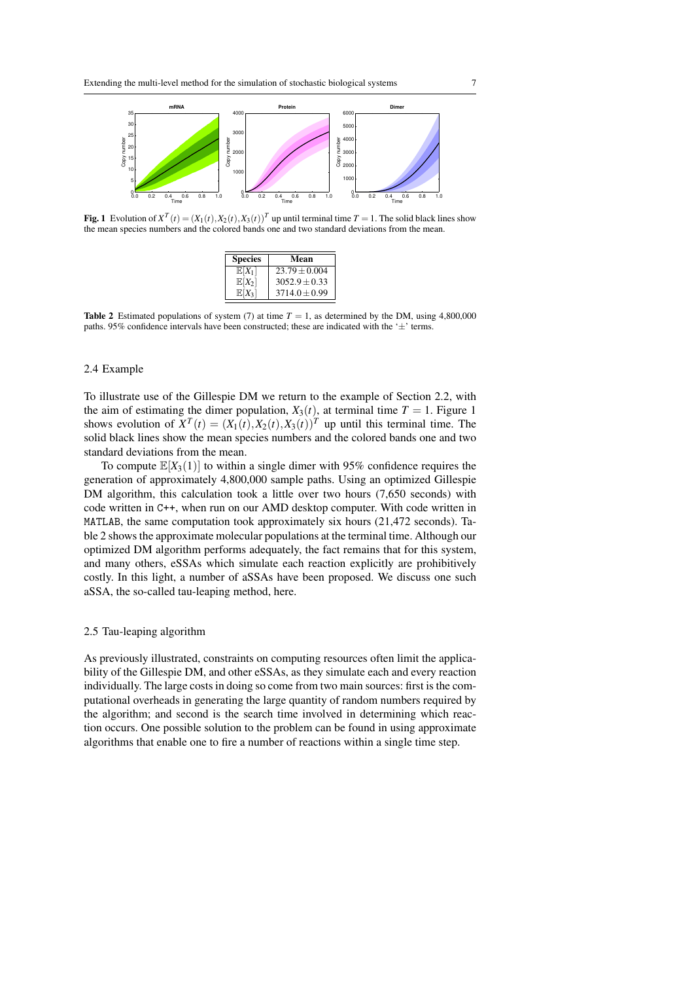

**Fig. 1** Evolution of  $X^T(t) = (X_1(t), X_2(t), X_3(t))^T$  up until terminal time  $T = 1$ . The solid black lines show the mean species numbers and the colored bands one and two standard deviations from the mean.

| <b>Species</b>    | Mean            |
|-------------------|-----------------|
| $\mathbb{E}[X_1]$ | $23.79 + 0.004$ |
| $\mathbb{E}[X_2]$ | $3052.9 + 0.33$ |
| $\mathbb{E}[X_2]$ | $3714.0 + 0.99$ |

**Table 2** Estimated populations of system (7) at time  $T = 1$ , as determined by the DM, using 4,800,000 paths. 95% confidence intervals have been constructed; these are indicated with the  $\pm$  terms.

# 2.4 Example

To illustrate use of the Gillespie DM we return to the example of Section 2.2, with the aim of estimating the dimer population,  $X_3(t)$ , at terminal time  $T = 1$ . Figure 1 shows evolution of  $X^T(t) = (X_1(t), X_2(t), X_3(t))^T$  up until this terminal time. The solid black lines show the mean species numbers and the colored bands one and two standard deviations from the mean.

To compute  $\mathbb{E}[X_3(1)]$  to within a single dimer with 95% confidence requires the generation of approximately 4,800,000 sample paths. Using an optimized Gillespie DM algorithm, this calculation took a little over two hours (7,650 seconds) with code written in C++, when run on our AMD desktop computer. With code written in MATLAB, the same computation took approximately six hours (21,472 seconds). Table 2 shows the approximate molecular populations at the terminal time. Although our optimized DM algorithm performs adequately, the fact remains that for this system, and many others, eSSAs which simulate each reaction explicitly are prohibitively costly. In this light, a number of aSSAs have been proposed. We discuss one such aSSA, the so-called tau-leaping method, here.

## 2.5 Tau-leaping algorithm

As previously illustrated, constraints on computing resources often limit the applicability of the Gillespie DM, and other eSSAs, as they simulate each and every reaction individually. The large costs in doing so come from two main sources: first is the computational overheads in generating the large quantity of random numbers required by the algorithm; and second is the search time involved in determining which reaction occurs. One possible solution to the problem can be found in using approximate algorithms that enable one to fire a number of reactions within a single time step.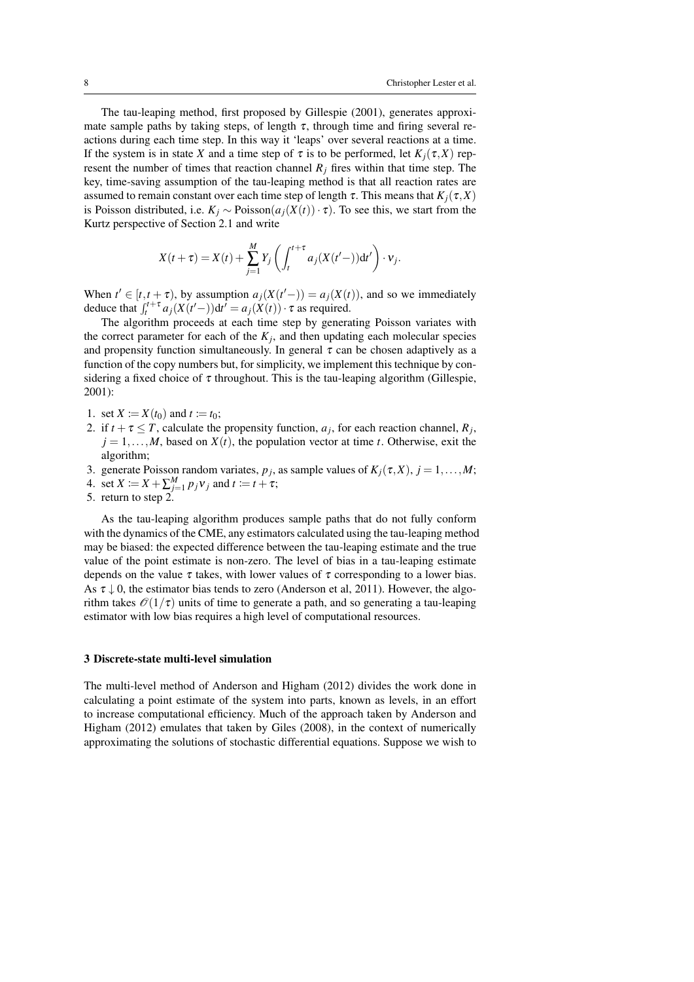The tau-leaping method, first proposed by Gillespie (2001), generates approximate sample paths by taking steps, of length  $\tau$ , through time and firing several reactions during each time step. In this way it 'leaps' over several reactions at a time. If the system is in state *X* and a time step of  $\tau$  is to be performed, let  $K_i(\tau, X)$  represent the number of times that reaction channel  $R_i$  fires within that time step. The key, time-saving assumption of the tau-leaping method is that all reaction rates are assumed to remain constant over each time step of length  $\tau$ . This means that  $K_i(\tau, X)$ is Poisson distributed, i.e.  $K_j \sim \text{Poisson}(a_j(X(t)) \cdot \tau)$ . To see this, we start from the Kurtz perspective of Section 2.1 and write

$$
X(t+\tau) = X(t) + \sum_{j=1}^{M} Y_j \left( \int_t^{t+\tau} a_j (X(t'-)) dt' \right) \cdot v_j.
$$

When  $t' \in [t, t + \tau)$ , by assumption  $a_j(X(t' -)) = a_j(X(t))$ , and so we immediately deduce that  $\int_t^{t+\tau} a_j(X(t'-)) dt' = a_j(X(t)) \cdot \tau$  as required.

The algorithm proceeds at each time step by generating Poisson variates with the correct parameter for each of the  $K_j$ , and then updating each molecular species and propensity function simultaneously. In general  $\tau$  can be chosen adaptively as a function of the copy numbers but, for simplicity, we implement this technique by considering a fixed choice of  $\tau$  throughout. This is the tau-leaping algorithm (Gillespie, 2001):

- 1. set  $X := X(t_0)$  and  $t := t_0$ ;
- 2. if  $t + \tau \leq T$ , calculate the propensity function,  $a_j$ , for each reaction channel,  $R_j$ ,  $j = 1, \ldots, M$ , based on  $X(t)$ , the population vector at time *t*. Otherwise, exit the algorithm;
- 3. generate Poisson random variates,  $p_j$ , as sample values of  $K_j(\tau, X)$ ,  $j = 1, \ldots, M$ ;
- 4. set  $X \coloneqq X + \sum_{j=1}^{M} p_j v_j$  and  $t \coloneqq t + \tau$ ;
- 5. return to step 2.

As the tau-leaping algorithm produces sample paths that do not fully conform with the dynamics of the CME, any estimators calculated using the tau-leaping method may be biased: the expected difference between the tau-leaping estimate and the true value of the point estimate is non-zero. The level of bias in a tau-leaping estimate depends on the value  $\tau$  takes, with lower values of  $\tau$  corresponding to a lower bias. As  $\tau \downarrow 0$ , the estimator bias tends to zero (Anderson et al, 2011). However, the algorithm takes  $\mathcal{O}(1/\tau)$  units of time to generate a path, and so generating a tau-leaping estimator with low bias requires a high level of computational resources.

## 3 Discrete-state multi-level simulation

The multi-level method of Anderson and Higham (2012) divides the work done in calculating a point estimate of the system into parts, known as levels, in an effort to increase computational efficiency. Much of the approach taken by Anderson and Higham (2012) emulates that taken by Giles (2008), in the context of numerically approximating the solutions of stochastic differential equations. Suppose we wish to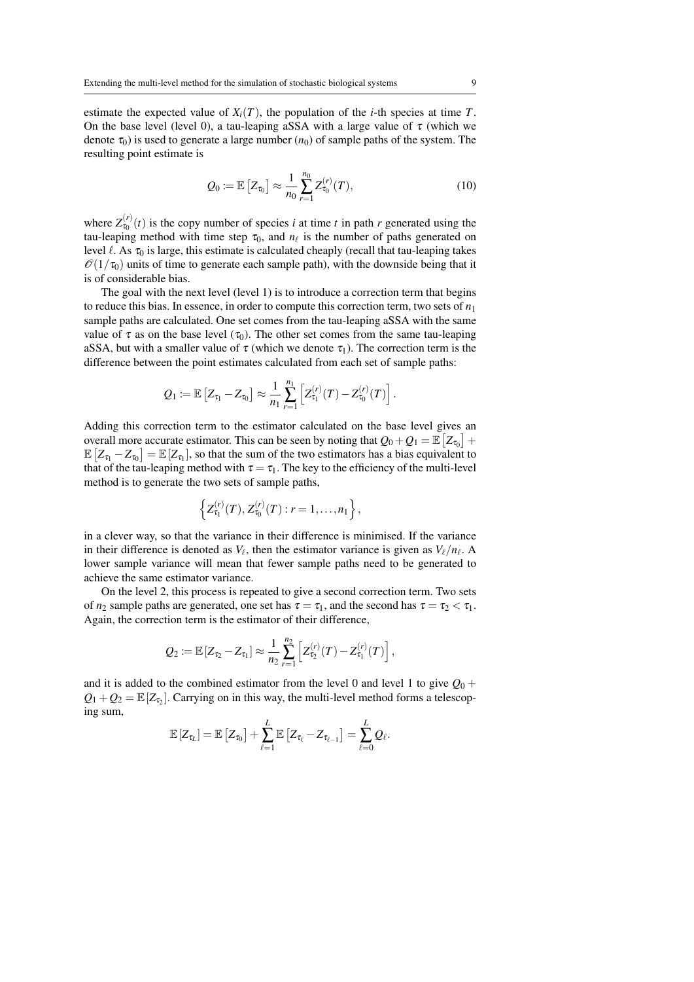estimate the expected value of  $X_i(T)$ , the population of the *i*-th species at time *T*. On the base level (level 0), a tau-leaping aSSA with a large value of  $\tau$  (which we denote  $\tau_0$ ) is used to generate a large number ( $n_0$ ) of sample paths of the system. The resulting point estimate is

$$
Q_0 \coloneqq \mathbb{E}\left[Z_{\tau_0}\right] \approx \frac{1}{n_0} \sum_{r=1}^{n_0} Z_{\tau_0}^{(r)}(T), \tag{10}
$$

where  $Z_{\tau_0}^{(r)}(t)$  is the copy number of species *i* at time *t* in path *r* generated using the tau-leaping method with time step  $\tau_0$ , and  $n_\ell$  is the number of paths generated on level  $\ell$ . As  $\tau_0$  is large, this estimate is calculated cheaply (recall that tau-leaping takes  $\mathcal{O}(1/\tau_0)$  units of time to generate each sample path), with the downside being that it is of considerable bias.

The goal with the next level (level 1) is to introduce a correction term that begins to reduce this bias. In essence, in order to compute this correction term, two sets of  $n_1$ sample paths are calculated. One set comes from the tau-leaping aSSA with the same value of  $\tau$  as on the base level ( $\tau_0$ ). The other set comes from the same tau-leaping aSSA, but with a smaller value of  $\tau$  (which we denote  $\tau_1$ ). The correction term is the difference between the point estimates calculated from each set of sample paths:

$$
Q_1 \coloneqq \mathbb{E}\left[Z_{\tau_1} - Z_{\tau_0}\right] \approx \frac{1}{n_1} \sum_{r=1}^{n_1} \left[Z_{\tau_1}^{(r)}(T) - Z_{\tau_0}^{(r)}(T)\right].
$$

Adding this correction term to the estimator calculated on the base level gives an overall more accurate estimator. This can be seen by noting that  $Q_0 + Q_1 = \mathbb{E}\left[ Z_{\tau_0} \right] +$  $\mathbb{E}\left[Z_{\tau_1} - Z_{\tau_0}\right] = \mathbb{E}\left[Z_{\tau_1}\right]$ , so that the sum of the two estimators has a bias equivalent to that of the tau-leaping method with  $\tau = \tau_1$ . The key to the efficiency of the multi-level method is to generate the two sets of sample paths,

$$
\left\{Z_{\tau_1}^{(r)}(T), Z_{\tau_0}^{(r)}(T) : r = 1, \ldots, n_1\right\},\,
$$

in a clever way, so that the variance in their difference is minimised. If the variance in their difference is denoted as  $V_\ell$ , then the estimator variance is given as  $V_\ell/n_\ell$ . A lower sample variance will mean that fewer sample paths need to be generated to achieve the same estimator variance.

On the level 2, this process is repeated to give a second correction term. Two sets of  $n_2$  sample paths are generated, one set has  $\tau = \tau_1$ , and the second has  $\tau = \tau_2 < \tau_1$ . Again, the correction term is the estimator of their difference,

$$
Q_2 \coloneqq \mathbb{E}\left[Z_{\tau_2} - Z_{\tau_1}\right] \approx \frac{1}{n_2} \sum_{r=1}^{n_2} \left[Z_{\tau_2}^{(r)}(T) - Z_{\tau_1}^{(r)}(T)\right],
$$

and it is added to the combined estimator from the level 0 and level 1 to give  $O_0$  +  $Q_1 + Q_2 = \mathbb{E}[Z_{\tau_2}]$ . Carrying on in this way, the multi-level method forms a telescoping sum,

$$
\mathbb{E}\left[Z_{\tau_L}\right] = \mathbb{E}\left[Z_{\tau_0}\right] + \sum_{\ell=1}^L \mathbb{E}\left[Z_{\tau_\ell} - Z_{\tau_{\ell-1}}\right] = \sum_{\ell=0}^L \mathcal{Q}_\ell.
$$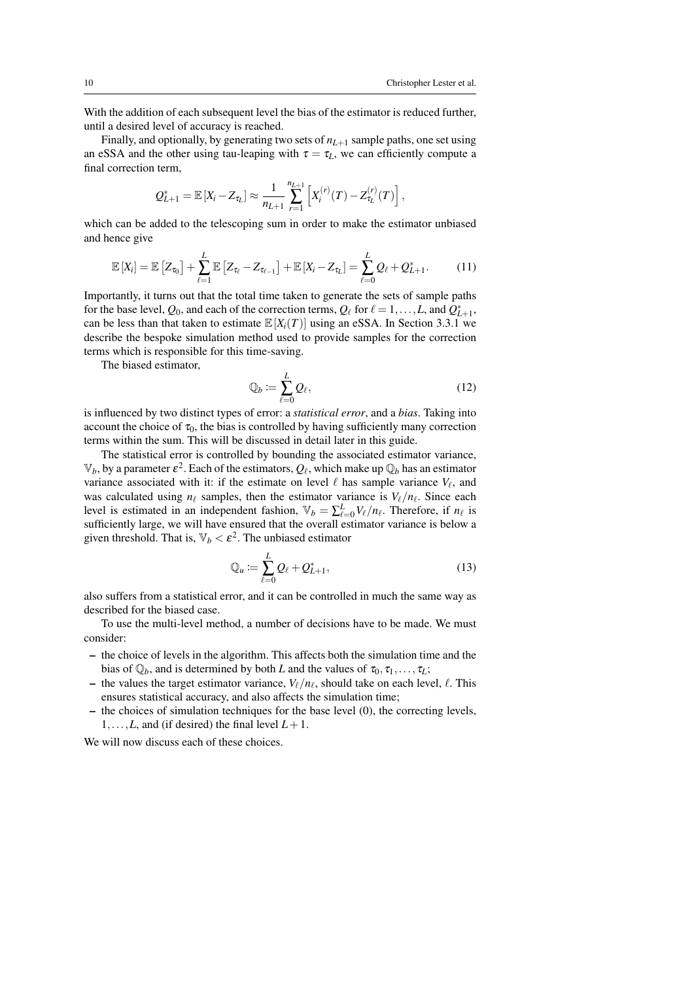With the addition of each subsequent level the bias of the estimator is reduced further, until a desired level of accuracy is reached.

Finally, and optionally, by generating two sets of  $n_{L+1}$  sample paths, one set using an eSSA and the other using tau-leaping with  $\tau = \tau_L$ , we can efficiently compute a final correction term,

$$
Q_{L+1}^* = \mathbb{E}\left[X_i - Z_{\tau_L}\right] \approx \frac{1}{n_{L+1}} \sum_{r=1}^{n_{L+1}} \left[X_i^{(r)}(T) - Z_{\tau_L}^{(r)}(T)\right],
$$

which can be added to the telescoping sum in order to make the estimator unbiased and hence give

$$
\mathbb{E}\left[X_i\right] = \mathbb{E}\left[Z_{\tau_0}\right] + \sum_{\ell=1}^L \mathbb{E}\left[Z_{\tau_\ell} - Z_{\tau_{\ell-1}}\right] + \mathbb{E}\left[X_i - Z_{\tau_L}\right] = \sum_{\ell=0}^L Q_\ell + Q_{L+1}^*.
$$
 (11)

Importantly, it turns out that the total time taken to generate the sets of sample paths for the base level,  $Q_0$ , and each of the correction terms,  $Q_\ell$  for  $\ell = 1, \ldots, L$ , and  $Q_{L+1}^*$ , can be less than that taken to estimate  $\mathbb{E}[X_i(T)]$  using an eSSA. In Section 3.3.1 we describe the bespoke simulation method used to provide samples for the correction terms which is responsible for this time-saving.

The biased estimator,

$$
\mathbb{Q}_b := \sum_{\ell=0}^L \mathcal{Q}_\ell,\tag{12}
$$

is influenced by two distinct types of error: a *statistical error*, and a *bias*. Taking into account the choice of  $\tau_0$ , the bias is controlled by having sufficiently many correction terms within the sum. This will be discussed in detail later in this guide.

The statistical error is controlled by bounding the associated estimator variance,  $\mathbb{V}_b$ , by a parameter  $\varepsilon^2$ . Each of the estimators,  $\mathcal{Q}_\ell$ , which make up  $\mathbb{Q}_b$  has an estimator variance associated with it: if the estimate on level  $\ell$  has sample variance  $V_{\ell}$ , and was calculated using  $n_\ell$  samples, then the estimator variance is  $V_\ell/n_\ell$ . Since each level is estimated in an independent fashion,  $\mathbb{V}_b = \sum_{\ell=0}^{L} V_{\ell} / n_{\ell}$ . Therefore, if  $n_{\ell}$  is sufficiently large, we will have ensured that the overall estimator variance is below a given threshold. That is,  $\mathbb{V}_b < \varepsilon^2$ . The unbiased estimator

$$
\mathbb{Q}_u := \sum_{\ell=0}^L \mathcal{Q}_\ell + \mathcal{Q}_{L+1}^*,\tag{13}
$$

also suffers from a statistical error, and it can be controlled in much the same way as described for the biased case.

To use the multi-level method, a number of decisions have to be made. We must consider:

- the choice of levels in the algorithm. This affects both the simulation time and the bias of  $\mathbb{Q}_b$ , and is determined by both *L* and the values of  $\tau_0, \tau_1, \ldots, \tau_L$ ;
- the values the target estimator variance,  $V_{\ell}/n_{\ell}$ , should take on each level,  $\ell$ . This ensures statistical accuracy, and also affects the simulation time;
- $-$  the choices of simulation techniques for the base level  $(0)$ , the correcting levels, 1,...,*L*, and (if desired) the final level  $L+1$ .

We will now discuss each of these choices.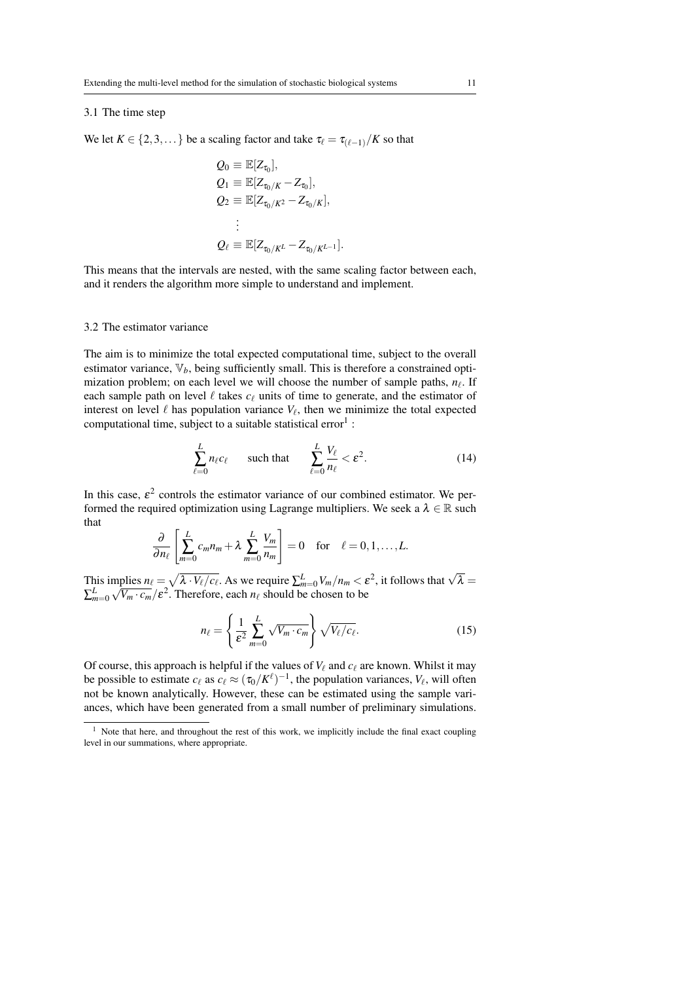# 3.1 The time step

We let  $K \in \{2, 3, \dots\}$  be a scaling factor and take  $\tau_{\ell} = \tau_{(\ell-1)}/K$  so that

$$
Q_0 \equiv \mathbb{E}[Z_{\tau_0}],
$$
  
\n
$$
Q_1 \equiv \mathbb{E}[Z_{\tau_0/K} - Z_{\tau_0}],
$$
  
\n
$$
Q_2 \equiv \mathbb{E}[Z_{\tau_0/K^2} - Z_{\tau_0/K}],
$$
  
\n
$$
\vdots
$$
  
\n
$$
Q_{\ell} \equiv \mathbb{E}[Z_{\tau_0/K^L} - Z_{\tau_0/K^{L-1}}].
$$

This means that the intervals are nested, with the same scaling factor between each, and it renders the algorithm more simple to understand and implement.

#### 3.2 The estimator variance

The aim is to minimize the total expected computational time, subject to the overall estimator variance,  $\nabla_b$ , being sufficiently small. This is therefore a constrained optimization problem; on each level we will choose the number of sample paths,  $n_{\ell}$ . If each sample path on level  $\ell$  takes  $c_{\ell}$  units of time to generate, and the estimator of interest on level  $\ell$  has population variance  $V_\ell$ , then we minimize the total expected computational time, subject to a suitable statistical error<sup>1</sup>:

$$
\sum_{\ell=0}^{L} n_{\ell} c_{\ell} \qquad \text{such that} \qquad \sum_{\ell=0}^{L} \frac{V_{\ell}}{n_{\ell}} < \varepsilon^{2}.\tag{14}
$$

In this case,  $\varepsilon^2$  controls the estimator variance of our combined estimator. We performed the required optimization using Lagrange multipliers. We seek a  $\lambda \in \mathbb{R}$  such that

$$
\frac{\partial}{\partial n_{\ell}}\left[\sum_{m=0}^{L}c_m n_m + \lambda \sum_{m=0}^{L}\frac{V_m}{n_m}\right] = 0 \text{ for } \ell = 0, 1, ..., L.
$$

This implies  $n_\ell = \sqrt{\lambda \cdot V_\ell/c_\ell}$ . As we require  $\sum_{m=0}^L V_m/n_m < \varepsilon^2$ , it follows that  $\sqrt{\lambda} =$  $\sum_{m=0}^{L} \sqrt{V_m \cdot c_m}/\varepsilon^2$ . Therefore, each  $n_\ell$  should be chosen to be

$$
n_{\ell} = \left\{ \frac{1}{\varepsilon^2} \sum_{m=0}^{L} \sqrt{V_m \cdot c_m} \right\} \sqrt{V_{\ell}/c_{\ell}}.
$$
 (15)

Of course, this approach is helpful if the values of  $V_\ell$  and  $c_\ell$  are known. Whilst it may be possible to estimate  $c_\ell$  as  $c_\ell \approx (\tau_0/K^\ell)^{-1}$ , the population variances,  $V_\ell$ , will often not be known analytically. However, these can be estimated using the sample variances, which have been generated from a small number of preliminary simulations.

<sup>&</sup>lt;sup>1</sup> Note that here, and throughout the rest of this work, we implicitly include the final exact coupling level in our summations, where appropriate.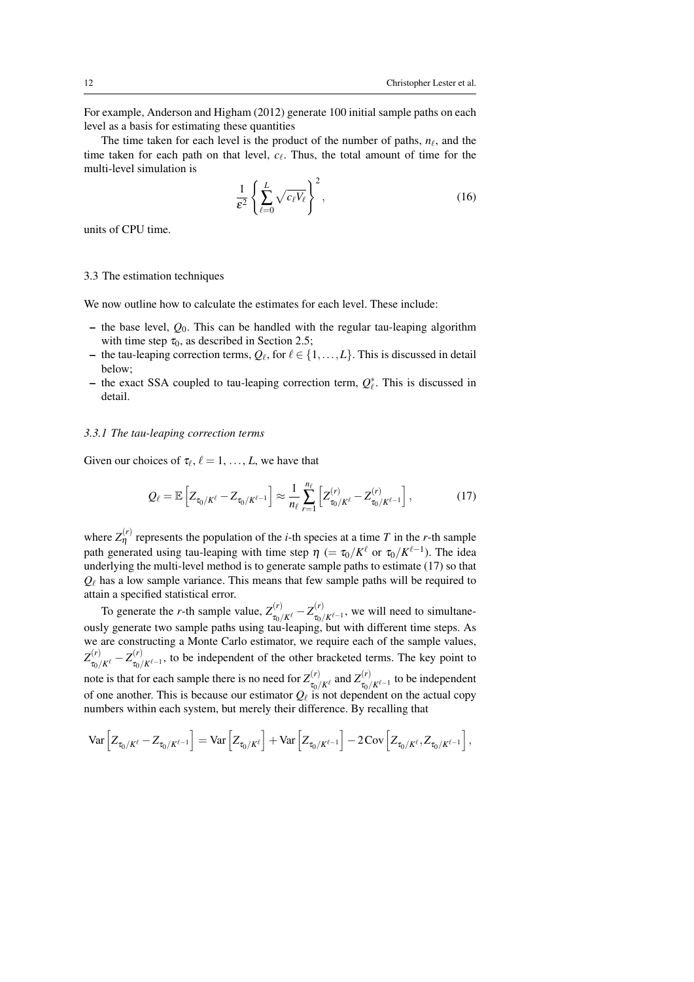For example, Anderson and Higham (2012) generate 100 initial sample paths on each level as a basis for estimating these quantities

The time taken for each level is the product of the number of paths,  $n_\ell$ , and the time taken for each path on that level,  $c_{\ell}$ . Thus, the total amount of time for the multi-level simulation is

$$
\frac{1}{\varepsilon^2} \left\{ \sum_{\ell=0}^L \sqrt{c_\ell V_\ell} \right\}^2, \tag{16}
$$

units of CPU time.

#### 3.3 The estimation techniques

We now outline how to calculate the estimates for each level. These include:

- $-$  the base level,  $Q_0$ . This can be handled with the regular tau-leaping algorithm with time step  $\tau_0$ , as described in Section 2.5;
- the tau-leaping correction terms,  $Q_\ell$ , for  $\ell \in \{1,\ldots,L\}$ . This is discussed in detail below;
- the exact SSA coupled to tau-leaping correction term,  $Q_{\ell}^*$ . This is discussed in detail.

## *3.3.1 The tau-leaping correction terms*

Given our choices of  $\tau_{\ell}, \ell = 1, \ldots, L$ , we have that

$$
Q_{\ell} = \mathbb{E}\left[Z_{\tau_0/K^{\ell}} - Z_{\tau_0/K^{\ell-1}}\right] \approx \frac{1}{n_{\ell}} \sum_{r=1}^{n_{\ell}} \left[Z_{\tau_0/K^{\ell}}^{(r)} - Z_{\tau_0/K^{\ell-1}}^{(r)}\right],\tag{17}
$$

where  $Z_{\eta}^{(r)}$  represents the population of the *i*-th species at a time *T* in the *r*-th sample path generated using tau-leaping with time step  $\eta$  (=  $\tau_0/K^\ell$  or  $\tau_0/K^{\ell-1}$ ). The idea underlying the multi-level method is to generate sample paths to estimate (17) so that  $Q_{\ell}$  has a low sample variance. This means that few sample paths will be required to attain a specified statistical error.

To generate the *r*-th sample value,  $Z_{\tau_0/K^\ell}^{(r)} - Z_{\tau_0}^{(r)}$  $\int_{\tau_0/K^{\ell-1}}^{\tau_0}$ , we will need to simultaneously generate two sample paths using tau-leaping, but with different time steps. As we are constructing a Monte Carlo estimator, we require each of the sample values,  $Z_{\tau_0/K^\ell}^{(r)} - Z_{\tau_0/}^{(r)}$  $\tau_{0}/K^{\ell-1}$ , to be independent of the other bracketed terms. The key point to note is that for each sample there is no need for  $Z_{\tau}^{(r)}$  $\pi_{\tau_0/K^\ell}^{(r)}$  and  $Z_{\tau_{0/\ell}}^{(r)}$  $\int_{\tau_0/K^{\ell-1}}^{\tau(r)}$  to be independent of one another. This is because our estimator  $Q_\ell$  is not dependent on the actual copy numbers within each system, but merely their difference. By recalling that

$$
\text{Var}\left[Z_{\tau_0/K^\ell}-Z_{\tau_0/K^{\ell-1}}\right]=\text{Var}\left[Z_{\tau_0/K^\ell}\right]+\text{Var}\left[Z_{\tau_0/K^{\ell-1}}\right]-2\text{Cov}\left[Z_{\tau_0/K^\ell},Z_{\tau_0/K^{\ell-1}}\right],
$$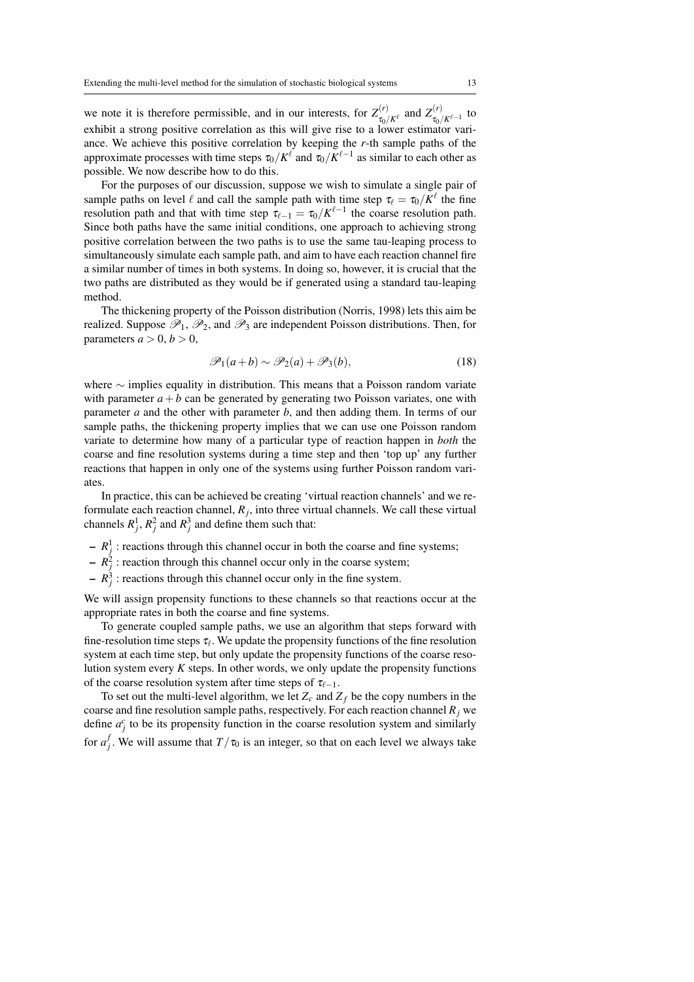we note it is therefore permissible, and in our interests, for  $Z_{\tau}^{(r)}$  $\mathcal{Z}_{\tau_0/K^\ell}^{(r)}$  and  $Z_{\tau_0/K^\ell}^{(r)}$  $\int_{\tau_0/K^{\ell-1}}^{\tau(\ell)}$  to exhibit a strong positive correlation as this will give rise to a lower estimator variance. We achieve this positive correlation by keeping the *r*-th sample paths of the approximate processes with time steps  $\tau_0/K^\ell$  and  $\tau_0/K^{\ell-1}$  as similar to each other as possible. We now describe how to do this.

For the purposes of our discussion, suppose we wish to simulate a single pair of sample paths on level  $\ell$  and call the sample path with time step  $\tau_{\ell} = \tau_0/K^{\ell}$  the fine resolution path and that with time step  $\tau_{\ell-1} = \tau_0/K^{\ell-1}$  the coarse resolution path. Since both paths have the same initial conditions, one approach to achieving strong positive correlation between the two paths is to use the same tau-leaping process to simultaneously simulate each sample path, and aim to have each reaction channel fire a similar number of times in both systems. In doing so, however, it is crucial that the two paths are distributed as they would be if generated using a standard tau-leaping method.

The thickening property of the Poisson distribution (Norris, 1998) lets this aim be realized. Suppose  $\mathscr{P}_1$ ,  $\mathscr{P}_2$ , and  $\mathscr{P}_3$  are independent Poisson distributions. Then, for parameters  $a > 0, b > 0$ ,

$$
\mathscr{P}_1(a+b) \sim \mathscr{P}_2(a) + \mathscr{P}_3(b),\tag{18}
$$

where ∼ implies equality in distribution. This means that a Poisson random variate with parameter  $a + b$  can be generated by generating two Poisson variates, one with parameter *a* and the other with parameter *b*, and then adding them. In terms of our sample paths, the thickening property implies that we can use one Poisson random variate to determine how many of a particular type of reaction happen in *both* the coarse and fine resolution systems during a time step and then 'top up' any further reactions that happen in only one of the systems using further Poisson random variates.

In practice, this can be achieved be creating 'virtual reaction channels' and we reformulate each reaction channel,  $R_j$ , into three virtual channels. We call these virtual channels  $R_j^1$ ,  $R_j^2$  and  $R_j^3$  and define them such that:

- $-R_j^1$ : reactions through this channel occur in both the coarse and fine systems;
- $-R_j^2$ : reaction through this channel occur only in the coarse system;
- $-R_j^3$ : reactions through this channel occur only in the fine system.

We will assign propensity functions to these channels so that reactions occur at the appropriate rates in both the coarse and fine systems.

To generate coupled sample paths, we use an algorithm that steps forward with fine-resolution time steps  $\tau_\ell$ . We update the propensity functions of the fine resolution system at each time step, but only update the propensity functions of the coarse resolution system every *K* steps. In other words, we only update the propensity functions of the coarse resolution system after time steps of  $\tau_{\ell-1}$ .

To set out the multi-level algorithm, we let  $Z_c$  and  $Z_f$  be the copy numbers in the coarse and fine resolution sample paths, respectively. For each reaction channel  $R_i$  we define  $a_j^c$  to be its propensity function in the coarse resolution system and similarly for  $a_j^f$ . We will assume that  $T/\tau_0$  is an integer, so that on each level we always take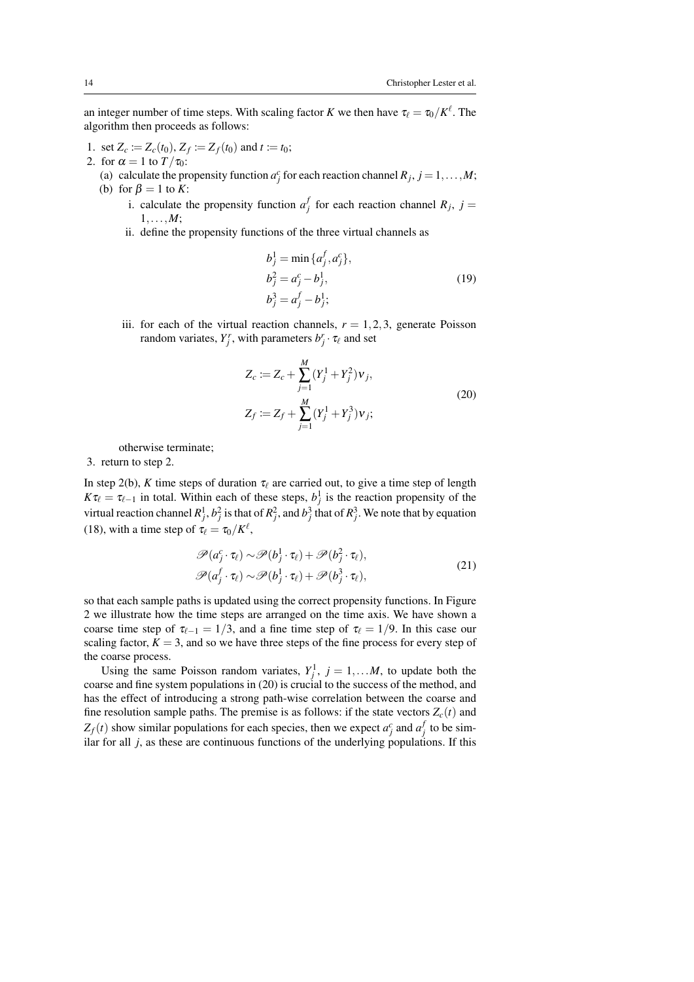an integer number of time steps. With scaling factor *K* we then have  $\tau_{\ell} = \tau_0/K^{\ell}$ . The algorithm then proceeds as follows:

- 1. set  $Z_c := Z_c(t_0), Z_f := Z_f(t_0)$  and  $t := t_0$ ;
- 2. for  $\alpha = 1$  to  $T/\tau_0$ :
	- (a) calculate the propensity function  $a_j^c$  for each reaction channel  $R_j$ ,  $j = 1, ..., M$ ; (b) for  $\beta = 1$  to *K*:
		- i. calculate the propensity function  $a_j^f$  for each reaction channel  $R_j$ ,  $j =$ 1,...,*M*;
		- ii. define the propensity functions of the three virtual channels as

$$
b_j^1 = \min \{a_j^f, a_j^c\},
$$
  
\n
$$
b_j^2 = a_j^c - b_j^1,
$$
  
\n
$$
b_j^3 = a_j^f - b_j^1;
$$
\n(19)

iii. for each of the virtual reaction channels,  $r = 1, 2, 3$ , generate Poisson random variates,  $Y_j^r$ , with parameters  $b_j^r \cdot \tau_\ell$  and set

$$
Z_c := Z_c + \sum_{j=1}^{M} (Y_j^1 + Y_j^2) v_j,
$$
  
\n
$$
Z_f := Z_f + \sum_{j=1}^{M} (Y_j^1 + Y_j^3) v_j;
$$
\n(20)

otherwise terminate;

3. return to step 2.

In step 2(b), *K* time steps of duration  $\tau_{\ell}$  are carried out, to give a time step of length  $K\tau_\ell = \tau_{\ell-1}$  in total. Within each of these steps,  $b_j^1$  is the reaction propensity of the virtual reaction channel  $R_j^1$ ,  $b_j^2$  is that of  $R_j^2$ , and  $b_j^3$  that of  $R_j^3$ . We note that by equation (18), with a time step of  $\tau_{\ell} = \tau_0/K^{\ell}$ ,

$$
\mathscr{P}(a_j^c \cdot \tau_\ell) \sim \mathscr{P}(b_j^1 \cdot \tau_\ell) + \mathscr{P}(b_j^2 \cdot \tau_\ell), \n\mathscr{P}(a_j^f \cdot \tau_\ell) \sim \mathscr{P}(b_j^1 \cdot \tau_\ell) + \mathscr{P}(b_j^3 \cdot \tau_\ell),
$$
\n(21)

so that each sample paths is updated using the correct propensity functions. In Figure 2 we illustrate how the time steps are arranged on the time axis. We have shown a coarse time step of  $\tau_{\ell-1} = 1/3$ , and a fine time step of  $\tau_{\ell} = 1/9$ . In this case our scaling factor,  $K = 3$ , and so we have three steps of the fine process for every step of the coarse process.

Using the same Poisson random variates,  $Y_j^1$ ,  $j = 1,...M$ , to update both the coarse and fine system populations in (20) is crucial to the success of the method, and has the effect of introducing a strong path-wise correlation between the coarse and fine resolution sample paths. The premise is as follows: if the state vectors  $Z_c(t)$  and  $Z_f(t)$  show similar populations for each species, then we expect  $a_j^c$  and  $a_j^f$  to be similar for all *j*, as these are continuous functions of the underlying populations. If this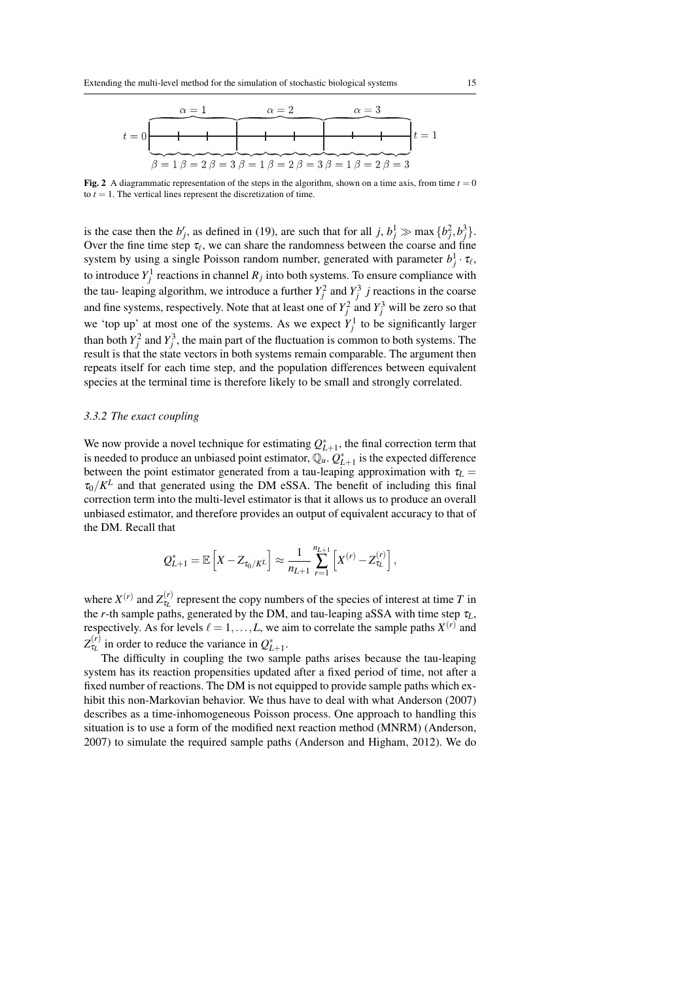

**Fig. 2** A diagrammatic representation of the steps in the algorithm, shown on a time axis, from time  $t = 0$ to  $t = 1$ . The vertical lines represent the discretization of time.

is the case then the  $b_j^r$ , as defined in (19), are such that for all  $j, b_j^1 \gg \max\{b_j^2, b_j^3\}$ . Over the fine time step  $\tau_\ell$ , we can share the randomness between the coarse and fine system by using a single Poisson random number, generated with parameter  $b_j^1 \cdot \tau_\ell$ , to introduce  $Y_j^1$  reactions in channel  $R_j$  into both systems. To ensure compliance with the tau-leaping algorithm, we introduce a further  $Y_j^2$  and  $Y_j^3$  *j* reactions in the coarse and fine systems, respectively. Note that at least one of  $Y_j^2$  and  $Y_j^3$  will be zero so that we 'top up' at most one of the systems. As we expect  $Y_j^1$  to be significantly larger than both  $Y_j^2$  and  $Y_j^3$ , the main part of the fluctuation is common to both systems. The result is that the state vectors in both systems remain comparable. The argument then repeats itself for each time step, and the population differences between equivalent species at the terminal time is therefore likely to be small and strongly correlated.

## *3.3.2 The exact coupling*

We now provide a novel technique for estimating  $Q_{L+1}^*$ , the final correction term that is needed to produce an unbiased point estimator,  $\mathbb{Q}_u$ .  $Q_{L+1}^*$  is the expected difference between the point estimator generated from a tau-leaping approximation with  $\tau_L$  =  $\tau_0/K^L$  and that generated using the DM eSSA. The benefit of including this final correction term into the multi-level estimator is that it allows us to produce an overall unbiased estimator, and therefore provides an output of equivalent accuracy to that of the DM. Recall that

$$
Q_{L+1}^* = \mathbb{E}\left[X - Z_{\tau_0/K^L}\right] \approx \frac{1}{n_{L+1}} \sum_{r=1}^{n_{L+1}} \left[X^{(r)} - Z_{\tau_L}^{(r)}\right],
$$

where  $X^{(r)}$  and  $Z_{\tau_L}^{(r)}$  represent the copy numbers of the species of interest at time *T* in the *r*-th sample paths, generated by the DM, and tau-leaping aSSA with time step  $\tau_L$ , respectively. As for levels  $\ell = 1, \ldots, L$ , we aim to correlate the sample paths  $X^{(r)}$  and  $Z_{\tau_L}^{(r)}$  in order to reduce the variance in  $Q_{L+1}^*$ .

The difficulty in coupling the two sample paths arises because the tau-leaping system has its reaction propensities updated after a fixed period of time, not after a fixed number of reactions. The DM is not equipped to provide sample paths which exhibit this non-Markovian behavior. We thus have to deal with what Anderson (2007) describes as a time-inhomogeneous Poisson process. One approach to handling this situation is to use a form of the modified next reaction method (MNRM) (Anderson, 2007) to simulate the required sample paths (Anderson and Higham, 2012). We do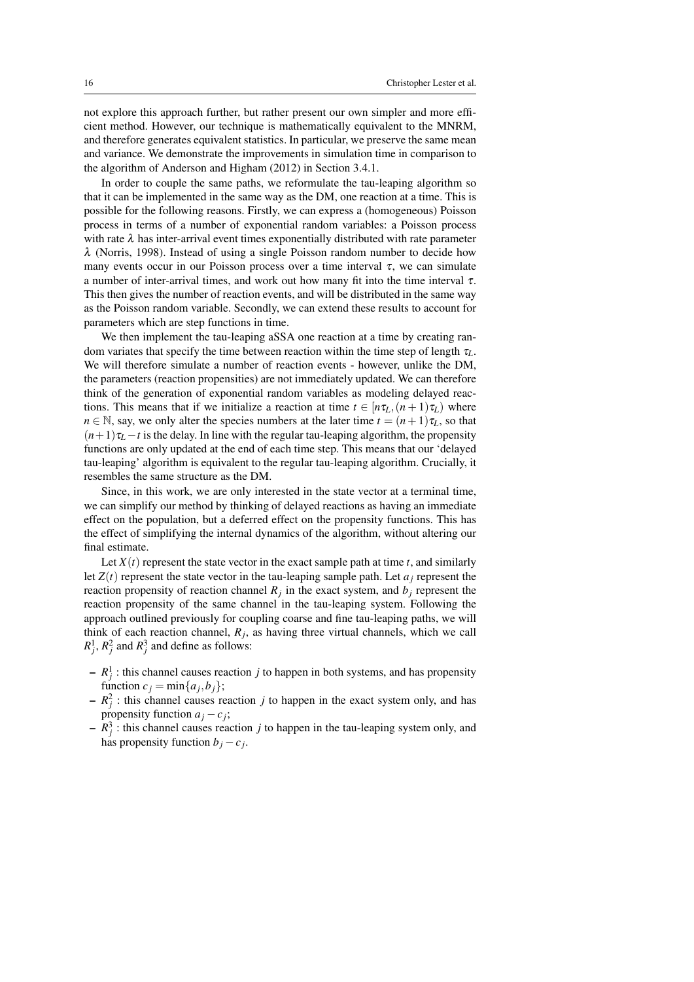not explore this approach further, but rather present our own simpler and more efficient method. However, our technique is mathematically equivalent to the MNRM, and therefore generates equivalent statistics. In particular, we preserve the same mean and variance. We demonstrate the improvements in simulation time in comparison to the algorithm of Anderson and Higham (2012) in Section 3.4.1.

In order to couple the same paths, we reformulate the tau-leaping algorithm so that it can be implemented in the same way as the DM, one reaction at a time. This is possible for the following reasons. Firstly, we can express a (homogeneous) Poisson process in terms of a number of exponential random variables: a Poisson process with rate  $\lambda$  has inter-arrival event times exponentially distributed with rate parameter λ (Norris, 1998). Instead of using a single Poisson random number to decide how many events occur in our Poisson process over a time interval  $\tau$ , we can simulate a number of inter-arrival times, and work out how many fit into the time interval τ. This then gives the number of reaction events, and will be distributed in the same way as the Poisson random variable. Secondly, we can extend these results to account for parameters which are step functions in time.

We then implement the tau-leaping aSSA one reaction at a time by creating random variates that specify the time between reaction within the time step of length τ*L*. We will therefore simulate a number of reaction events - however, unlike the DM, the parameters (reaction propensities) are not immediately updated. We can therefore think of the generation of exponential random variables as modeling delayed reactions. This means that if we initialize a reaction at time  $t \in [n\tau_L, (n+1)\tau_L)$  where  $n \in \mathbb{N}$ , say, we only alter the species numbers at the later time  $t = (n+1)\tau_L$ , so that  $(n+1)\tau_L - t$  is the delay. In line with the regular tau-leaping algorithm, the propensity functions are only updated at the end of each time step. This means that our 'delayed tau-leaping' algorithm is equivalent to the regular tau-leaping algorithm. Crucially, it resembles the same structure as the DM.

Since, in this work, we are only interested in the state vector at a terminal time, we can simplify our method by thinking of delayed reactions as having an immediate effect on the population, but a deferred effect on the propensity functions. This has the effect of simplifying the internal dynamics of the algorithm, without altering our final estimate.

Let  $X(t)$  represent the state vector in the exact sample path at time  $t$ , and similarly let  $Z(t)$  represent the state vector in the tau-leaping sample path. Let  $a_i$  represent the reaction propensity of reaction channel  $R_j$  in the exact system, and  $b_j$  represent the reaction propensity of the same channel in the tau-leaping system. Following the approach outlined previously for coupling coarse and fine tau-leaping paths, we will think of each reaction channel,  $R_j$ , as having three virtual channels, which we call  $R_j^1$ ,  $R_j^2$  and  $R_j^3$  and define as follows:

- $-R_j^1$ : this channel causes reaction *j* to happen in both systems, and has propensity function  $c_j = \min\{a_j, b_j\};$
- $-R_j^2$ : this channel causes reaction *j* to happen in the exact system only, and has propensity function  $a_j - c_j$ ;
- $-R_j^3$ : this channel causes reaction *j* to happen in the tau-leaping system only, and has propensity function  $b_j - c_j$ .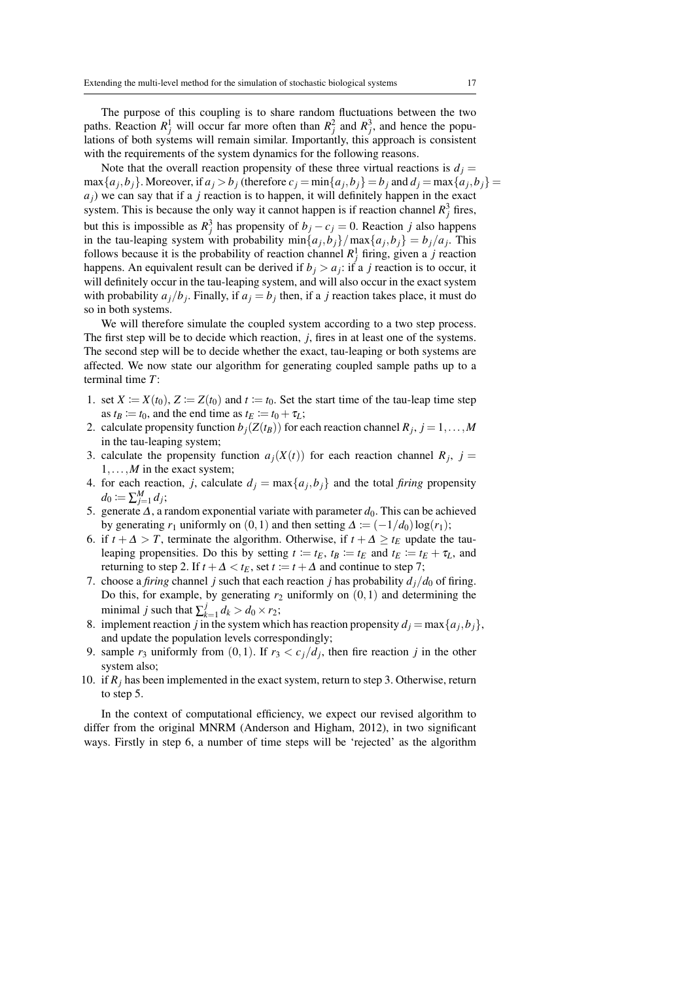The purpose of this coupling is to share random fluctuations between the two paths. Reaction  $R_j^1$  will occur far more often than  $R_j^2$  and  $R_j^3$ , and hence the populations of both systems will remain similar. Importantly, this approach is consistent with the requirements of the system dynamics for the following reasons.

Note that the overall reaction propensity of these three virtual reactions is  $d_i =$  $\max\{a_j, b_j\}$ . Moreover, if  $a_j > b_j$  (therefore  $c_j = \min\{a_j, b_j\} = b_j$  and  $d_j = \max\{a_j, b_j\} =$  $a_j$ ) we can say that if a *j* reaction is to happen, it will definitely happen in the exact system. This is because the only way it cannot happen is if reaction channel  $R_j^3$  fires, but this is impossible as  $R_j^3$  has propensity of  $b_j - c_j = 0$ . Reaction *j* also happens in the tau-leaping system with probability  $\min\{a_j, b_j\} / \max\{a_j, b_j\} = b_j / a_j$ . This follows because it is the probability of reaction channel  $R_j^1$  firing, given a *j* reaction happens. An equivalent result can be derived if  $b_j > a_j$ : if a *j* reaction is to occur, it will definitely occur in the tau-leaping system, and will also occur in the exact system with probability  $a_j/b_j$ . Finally, if  $a_j = b_j$  then, if a *j* reaction takes place, it must do so in both systems.

We will therefore simulate the coupled system according to a two step process. The first step will be to decide which reaction, *j*, fires in at least one of the systems. The second step will be to decide whether the exact, tau-leaping or both systems are affected. We now state our algorithm for generating coupled sample paths up to a terminal time *T*:

- 1. set  $X := X(t_0)$ ,  $Z := Z(t_0)$  and  $t := t_0$ . Set the start time of the tau-leap time step as  $t_B \coloneqq t_0$ , and the end time as  $t_E \coloneqq t_0 + \tau_L$ ;
- 2. calculate propensity function  $b_j(Z(t_B))$  for each reaction channel  $R_j$ ,  $j = 1, \ldots, M$ in the tau-leaping system;
- 3. calculate the propensity function  $a_j(X(t))$  for each reaction channel  $R_j$ ,  $j =$ 1,...,*M* in the exact system;
- 4. for each reaction, *j*, calculate  $d_j = \max\{a_j, b_j\}$  and the total *firing* propensity  $d_0 \coloneqq \sum_{j=1}^M d_j;$
- 5. generate  $\Delta$ , a random exponential variate with parameter  $d_0$ . This can be achieved by generating  $r_1$  uniformly on  $(0,1)$  and then setting  $\Delta := (-1/d_0) \log(r_1);$
- 6. if  $t + \Delta > T$ , terminate the algorithm. Otherwise, if  $t + \Delta \ge t_F$  update the tauleaping propensities. Do this by setting  $t := t_E$ ,  $t_B := t_E$  and  $t_E := t_E + \tau_L$ , and returning to step 2. If  $t + \Delta < t_E$ , set  $t := t + \Delta$  and continue to step 7;
- 7. choose a *firing* channel *j* such that each reaction *j* has probability  $d_j/d_0$  of firing. Do this, for example, by generating  $r_2$  uniformly on  $(0,1)$  and determining the minimal *j* such that  $\sum_{k=1}^{j}$  $\frac{d}{dx}$ <sub>k=1</sub>  $d_k > d_0 \times r_2$ ;
- 8. implement reaction *j* in the system which has reaction propensity  $d_j = \max\{a_j, b_j\}$ , and update the population levels correspondingly;
- 9. sample  $r_3$  uniformly from  $(0,1)$ . If  $r_3 < c_j/d_j$ , then fire reaction *j* in the other system also;
- 10. if  $R_i$  has been implemented in the exact system, return to step 3. Otherwise, return to step 5.

In the context of computational efficiency, we expect our revised algorithm to differ from the original MNRM (Anderson and Higham, 2012), in two significant ways. Firstly in step 6, a number of time steps will be 'rejected' as the algorithm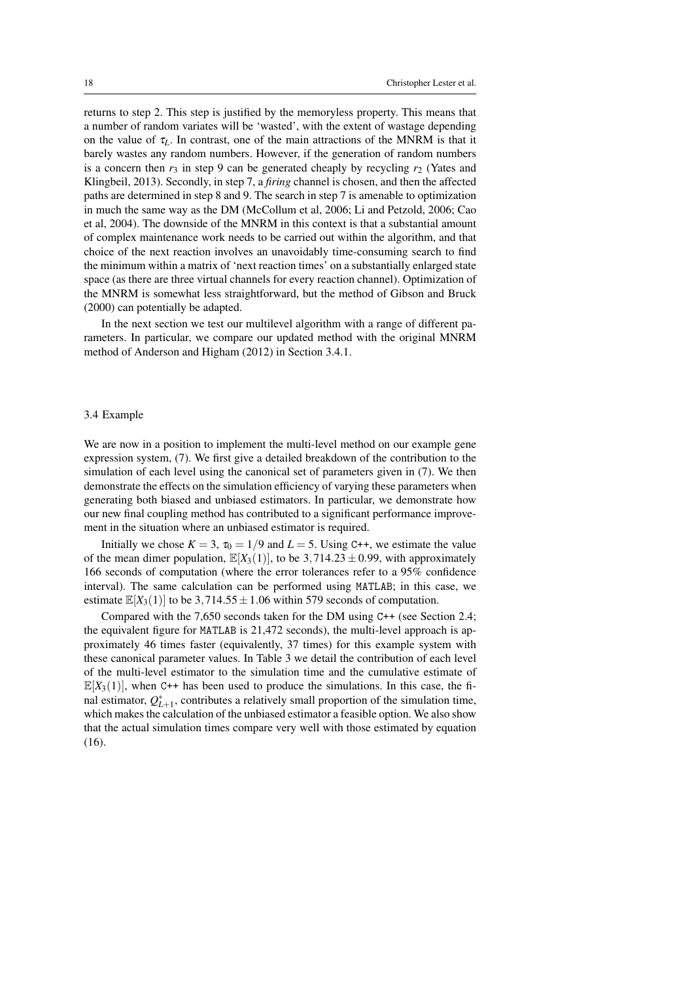returns to step 2. This step is justified by the memoryless property. This means that a number of random variates will be 'wasted', with the extent of wastage depending on the value of  $\tau_L$ . In contrast, one of the main attractions of the MNRM is that it barely wastes any random numbers. However, if the generation of random numbers is a concern then  $r_3$  in step 9 can be generated cheaply by recycling  $r_2$  (Yates and Klingbeil, 2013). Secondly, in step 7, a *firing* channel is chosen, and then the affected paths are determined in step 8 and 9. The search in step 7 is amenable to optimization in much the same way as the DM (McCollum et al, 2006; Li and Petzold, 2006; Cao et al, 2004). The downside of the MNRM in this context is that a substantial amount of complex maintenance work needs to be carried out within the algorithm, and that choice of the next reaction involves an unavoidably time-consuming search to find the minimum within a matrix of 'next reaction times' on a substantially enlarged state space (as there are three virtual channels for every reaction channel). Optimization of the MNRM is somewhat less straightforward, but the method of Gibson and Bruck (2000) can potentially be adapted.

In the next section we test our multilevel algorithm with a range of different parameters. In particular, we compare our updated method with the original MNRM method of Anderson and Higham (2012) in Section 3.4.1.

#### 3.4 Example

We are now in a position to implement the multi-level method on our example gene expression system, (7). We first give a detailed breakdown of the contribution to the simulation of each level using the canonical set of parameters given in (7). We then demonstrate the effects on the simulation efficiency of varying these parameters when generating both biased and unbiased estimators. In particular, we demonstrate how our new final coupling method has contributed to a significant performance improvement in the situation where an unbiased estimator is required.

Initially we chose  $K = 3$ ,  $\tau_0 = 1/9$  and  $L = 5$ . Using C++, we estimate the value of the mean dimer population,  $\mathbb{E}[X_3(1)]$ , to be 3,714.23  $\pm$  0.99, with approximately 166 seconds of computation (where the error tolerances refer to a 95% confidence interval). The same calculation can be performed using MATLAB; in this case, we estimate  $\mathbb{E}[X_3(1)]$  to be 3,714.55  $\pm$  1.06 within 579 seconds of computation.

Compared with the 7,650 seconds taken for the DM using C++ (see Section 2.4; the equivalent figure for MATLAB is 21,472 seconds), the multi-level approach is approximately 46 times faster (equivalently, 37 times) for this example system with these canonical parameter values. In Table 3 we detail the contribution of each level of the multi-level estimator to the simulation time and the cumulative estimate of  $\mathbb{E}[X_3(1)]$ , when C++ has been used to produce the simulations. In this case, the final estimator,  $Q_{L+1}^*$ , contributes a relatively small proportion of the simulation time, which makes the calculation of the unbiased estimator a feasible option. We also show that the actual simulation times compare very well with those estimated by equation (16).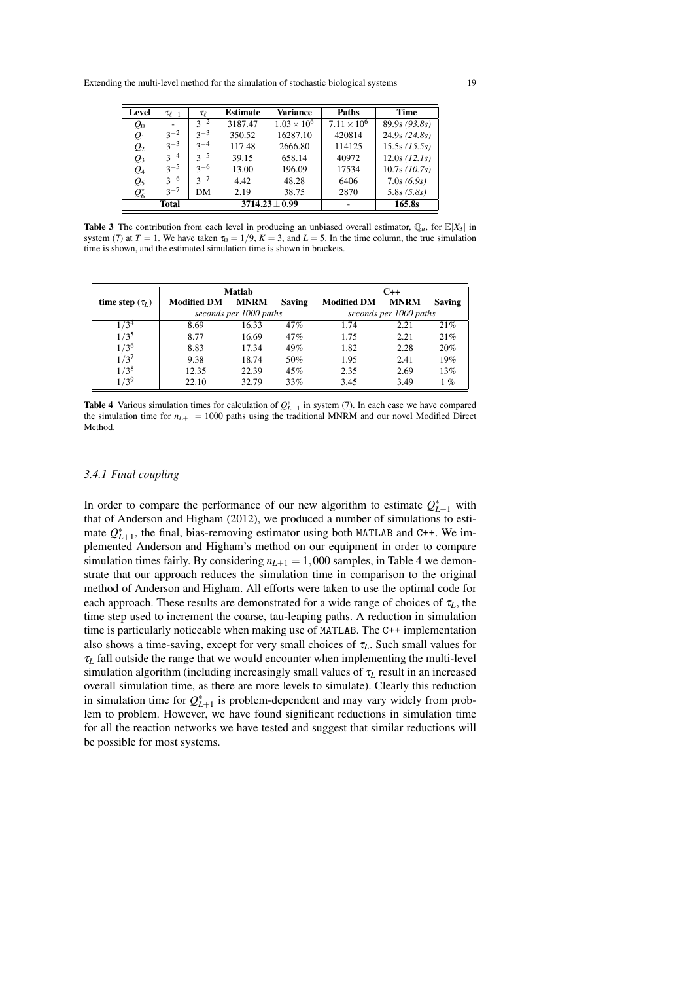| Level           | $\tau_{\ell-1}$ | $\tau_{\scriptscriptstyle{\ell}}$ | <b>Estimate</b> | <b>Variance</b>      | Paths                | <b>Time</b>     |
|-----------------|-----------------|-----------------------------------|-----------------|----------------------|----------------------|-----------------|
| $Q_0$           |                 | $3^{-2}$                          | 3187.47         | $1.03 \times 10^{6}$ | $7.11 \times 10^{6}$ | 89.9s(93.8s)    |
| $Q_1$           | $3^{-2}$        | $3^{-3}$                          | 350.52          | 16287.10             | 420814               | 24.9s(24.8s)    |
| $\mathcal{Q}_2$ | $3^{-3}$        | $3^{-4}$                          | 117.48          | 2666.80              | 114125               | $15.5s$ (15.5s) |
| $\mathcal{Q}_3$ | $3^{-4}$        | $3 - 5$                           | 39.15           | 658.14               | 40972                | 12.0s (12.1s)   |
| $Q_4$           | $3 - 5$         | $3 - 6$                           | 13.00           | 196.09               | 17534                | $10.7s$ (10.7s) |
| $Q_5$           | $3 - 6$         | $3 - 7$                           | 4.42            | 48.28                | 6406                 | 7.0s(6.9s)      |
| $Q_6^*$         | $3 - 7$         | DM                                | 2.19            | 38.75                | 2870                 | 5.8s(5.8s)      |
|                 | <b>Total</b>    |                                   |                 | $3714.23 \pm 0.99$   |                      | 165.8s          |

**Table 3** The contribution from each level in producing an unbiased overall estimator,  $\mathbb{Q}_u$ , for  $\mathbb{E}[X_3]$  in system (7) at  $T = 1$ . We have taken  $\tau_0 = 1/9$ ,  $K = 3$ , and  $L = 5$ . In the time column, the true simulation time is shown, and the estimated simulation time is shown in brackets.

|                      |                    | <b>Matlab</b>          |               |                        | $C++$       |               |
|----------------------|--------------------|------------------------|---------------|------------------------|-------------|---------------|
| time step $(\tau_L)$ | <b>Modified DM</b> | <b>MNRM</b>            | <b>Saving</b> | <b>Modified DM</b>     | <b>MNRM</b> | <b>Saving</b> |
|                      |                    | seconds per 1000 paths |               | seconds per 1000 paths |             |               |
| $1/3^4$              | 8.69               | 16.33                  | 47%           | 1.74                   | 2.21        | 21%           |
| $1/3^5$              | 8.77               | 16.69                  | 47%           | 1.75                   | 2.21        | 21%           |
| 1/3 <sup>6</sup>     | 8.83               | 17.34                  | 49%           | 1.82                   | 2.28        | 20%           |
| 1/3'                 | 9.38               | 18.74                  | 50%           | 1.95                   | 2.41        | 19%           |
| $1/3^8$              | 12.35              | 22.39                  | 45%           | 2.35                   | 2.69        | 13%           |
| $/3^{9}$             | 22.10              | 32.79                  | 33%           | 3.45                   | 3.49        | 1%            |

**Table 4** Various simulation times for calculation of  $Q_{L+1}^*$  in system (7). In each case we have compared the simulation time for  $n_{L+1} = 1000$  paths using the traditional MNRM and our novel Modified Direct Method.

# *3.4.1 Final coupling*

In order to compare the performance of our new algorithm to estimate  $Q_{L+1}^*$  with that of Anderson and Higham (2012), we produced a number of simulations to estimate  $Q_{L+1}^*$ , the final, bias-removing estimator using both MATLAB and C++. We implemented Anderson and Higham's method on our equipment in order to compare simulation times fairly. By considering  $n_{L+1} = 1,000$  samples, in Table 4 we demonstrate that our approach reduces the simulation time in comparison to the original method of Anderson and Higham. All efforts were taken to use the optimal code for each approach. These results are demonstrated for a wide range of choices of  $\tau_L$ , the time step used to increment the coarse, tau-leaping paths. A reduction in simulation time is particularly noticeable when making use of MATLAB. The C++ implementation also shows a time-saving, except for very small choices of  $\tau_L$ . Such small values for  $\tau_L$  fall outside the range that we would encounter when implementing the multi-level simulation algorithm (including increasingly small values of  $\tau_L$  result in an increased overall simulation time, as there are more levels to simulate). Clearly this reduction in simulation time for  $Q_{L+1}^*$  is problem-dependent and may vary widely from problem to problem. However, we have found significant reductions in simulation time for all the reaction networks we have tested and suggest that similar reductions will be possible for most systems.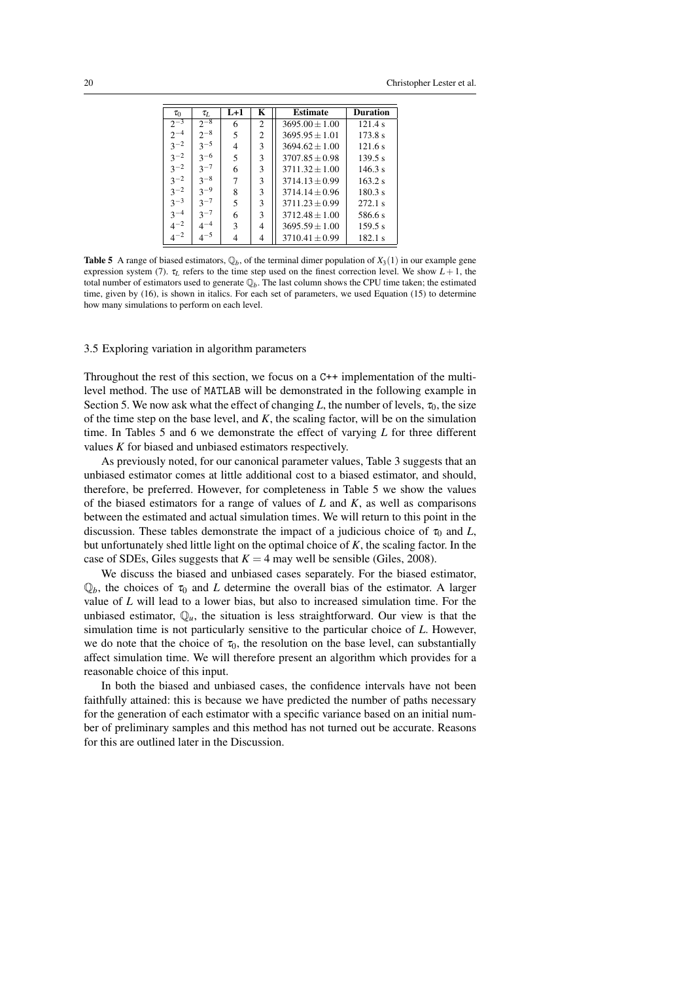| $\tau_0$ | $\tau_L$ | $L+1$ | K              | <b>Estimate</b>    | <b>Duration</b> |
|----------|----------|-------|----------------|--------------------|-----------------|
| $2^{-3}$ | $2^{-8}$ | 6     | 2              | $3695.00 \pm 1.00$ | 121.4 s         |
| $2^{-4}$ | $2^{-8}$ | 5     | $\overline{2}$ | $3695.95 + 1.01$   | 173.8 s         |
| $3^{-2}$ | $3 - 5$  | 4     | 3              | $3694.62 + 1.00$   | 121.6 s         |
| $3^{-2}$ | $3^{-6}$ | 5     | 3              | $3707.85 \pm 0.98$ | 139.5 s         |
| $3^{-2}$ | $3^{-7}$ | 6     | 3              | $3711.32 + 1.00$   | 146.3 s         |
| $3^{-2}$ | $3^{-8}$ | 7     | 3              | $3714.13 + 0.99$   | 163.2 s         |
| $3^{-2}$ | $3^{-9}$ | 8     | 3              | $3714.14 + 0.96$   | 180.3 s         |
| $3^{-3}$ | $3^{-7}$ | 5     | 3              | $3711.23 \pm 0.99$ | 272.1 s         |
| $3^{-4}$ | $3^{-7}$ | 6     | 3              | $3712.48 \pm 1.00$ | 586.6 s         |
| $4^{-2}$ | $4^{-4}$ | 3     | 4              | $3695.59 \pm 1.00$ | 159.5 s         |
| $4^{-2}$ | $4^{-5}$ | 4     | 4              | $3710.41 \pm 0.99$ | 182.1 s         |

**Table 5** A range of biased estimators,  $\mathbb{Q}_b$ , of the terminal dimer population of  $X_3(1)$  in our example gene expression system (7).  $\tau_L$  refers to the time step used on the finest correction level. We show  $L + 1$ , the total number of estimators used to generate Q*b*. The last column shows the CPU time taken; the estimated time, given by (16), is shown in italics. For each set of parameters, we used Equation (15) to determine how many simulations to perform on each level.

## 3.5 Exploring variation in algorithm parameters

Throughout the rest of this section, we focus on a C++ implementation of the multilevel method. The use of MATLAB will be demonstrated in the following example in Section 5. We now ask what the effect of changing L, the number of levels,  $\tau_0$ , the size of the time step on the base level, and  $K$ , the scaling factor, will be on the simulation time. In Tables 5 and 6 we demonstrate the effect of varying *L* for three different values *K* for biased and unbiased estimators respectively.

As previously noted, for our canonical parameter values, Table 3 suggests that an unbiased estimator comes at little additional cost to a biased estimator, and should, therefore, be preferred. However, for completeness in Table 5 we show the values of the biased estimators for a range of values of *L* and *K*, as well as comparisons between the estimated and actual simulation times. We will return to this point in the discussion. These tables demonstrate the impact of a judicious choice of  $\tau_0$  and *L*, but unfortunately shed little light on the optimal choice of *K*, the scaling factor. In the case of SDEs, Giles suggests that  $K = 4$  may well be sensible (Giles, 2008).

We discuss the biased and unbiased cases separately. For the biased estimator,  $\mathbb{Q}_b$ , the choices of  $\tau_0$  and *L* determine the overall bias of the estimator. A larger value of *L* will lead to a lower bias, but also to increased simulation time. For the unbiased estimator,  $\mathbb{Q}_u$ , the situation is less straightforward. Our view is that the simulation time is not particularly sensitive to the particular choice of *L*. However, we do note that the choice of  $\tau_0$ , the resolution on the base level, can substantially affect simulation time. We will therefore present an algorithm which provides for a reasonable choice of this input.

In both the biased and unbiased cases, the confidence intervals have not been faithfully attained: this is because we have predicted the number of paths necessary for the generation of each estimator with a specific variance based on an initial number of preliminary samples and this method has not turned out be accurate. Reasons for this are outlined later in the Discussion.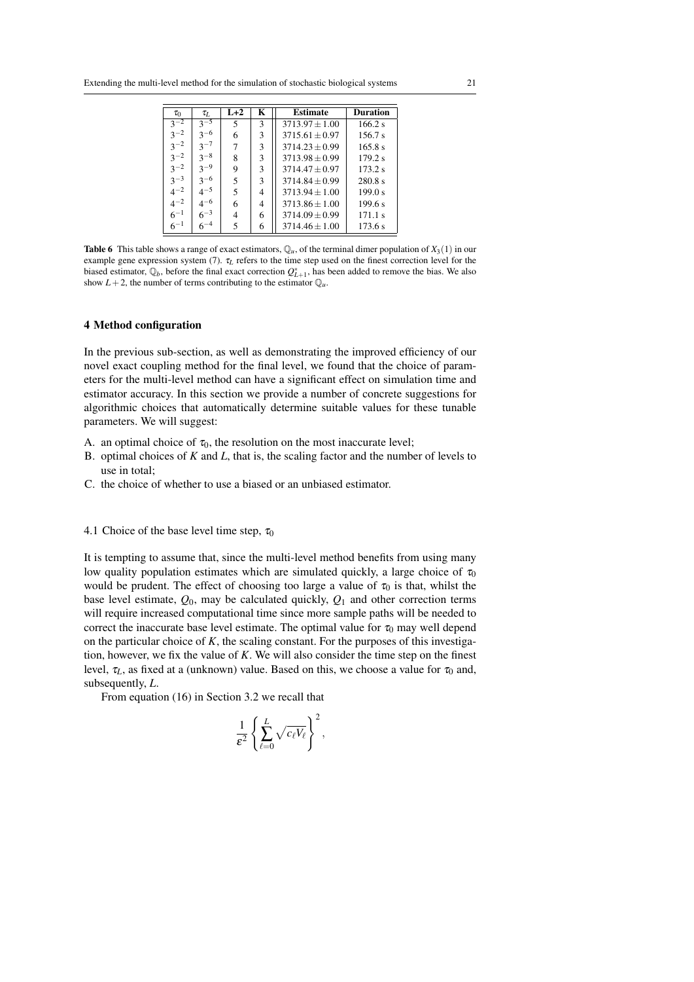| $\tau_0$ | $\tau_L$ | $L+2$ | K | <b>Estimate</b>    | <b>Duration</b> |
|----------|----------|-------|---|--------------------|-----------------|
| $3^{-2}$ | $3^{-5}$ | 5     | 3 | $3713.97 + 1.00$   | 166.2 s         |
| $3^{-2}$ | $3^{-6}$ | 6     | 3 | $3715.61 + 0.97$   | 156.7 s         |
| $3^{-2}$ | $3^{-7}$ | 7     | 3 | $3714.23 + 0.99$   | 165.8 s         |
| $3^{-2}$ | $3^{-8}$ | 8     | 3 | $3713.98 \pm 0.99$ | 179.2 s         |
| $3^{-2}$ | $3^{-9}$ | 9     | 3 | $3714.47 \pm 0.97$ | 173.2 s         |
| $3^{-3}$ | $3^{-6}$ | 5     | 3 | $3714.84 + 0.99$   | 280.8 s         |
| $4^{-2}$ | $4^{-5}$ | 5     | 4 | $3713.94 + 1.00$   | 199.0 s         |
| $4^{-2}$ | $4^{-6}$ | 6     | 4 | $3713.86 \pm 1.00$ | 199.6 s         |
| $6^{-1}$ | $6^{-3}$ | 4     | 6 | $3714.09 \pm 0.99$ | 171.1 s         |
| $6^{-1}$ | $6^{-4}$ | 5     | 6 | $3714.46 \pm 1.00$ | 173.6 s         |

**Table 6** This table shows a range of exact estimators,  $\mathbb{Q}_u$ , of the terminal dimer population of  $X_3(1)$  in our example gene expression system (7). τ*<sup>L</sup>* refers to the time step used on the finest correction level for the biased estimator,  $\mathbb{Q}_b$ , before the final exact correction  $Q_{L+1}^*$ , has been added to remove the bias. We also show  $L+2$ , the number of terms contributing to the estimator  $\mathbb{Q}_u$ .

# 4 Method configuration

In the previous sub-section, as well as demonstrating the improved efficiency of our novel exact coupling method for the final level, we found that the choice of parameters for the multi-level method can have a significant effect on simulation time and estimator accuracy. In this section we provide a number of concrete suggestions for algorithmic choices that automatically determine suitable values for these tunable parameters. We will suggest:

- A. an optimal choice of  $\tau_0$ , the resolution on the most inaccurate level;
- B. optimal choices of *K* and *L*, that is, the scaling factor and the number of levels to use in total;
- C. the choice of whether to use a biased or an unbiased estimator.

## 4.1 Choice of the base level time step,  $\tau_0$

It is tempting to assume that, since the multi-level method benefits from using many low quality population estimates which are simulated quickly, a large choice of  $\tau_0$ would be prudent. The effect of choosing too large a value of  $\tau_0$  is that, whilst the base level estimate, *Q*0, may be calculated quickly, *Q*<sup>1</sup> and other correction terms will require increased computational time since more sample paths will be needed to correct the inaccurate base level estimate. The optimal value for  $\tau_0$  may well depend on the particular choice of *K*, the scaling constant. For the purposes of this investigation, however, we fix the value of *K*. We will also consider the time step on the finest level,  $\tau_L$ , as fixed at a (unknown) value. Based on this, we choose a value for  $\tau_0$  and, subsequently, *L*.

From equation (16) in Section 3.2 we recall that

$$
\frac{1}{\varepsilon^2} \left\{ \sum_{\ell=0}^L \sqrt{c_\ell V_\ell} \right\}^2,
$$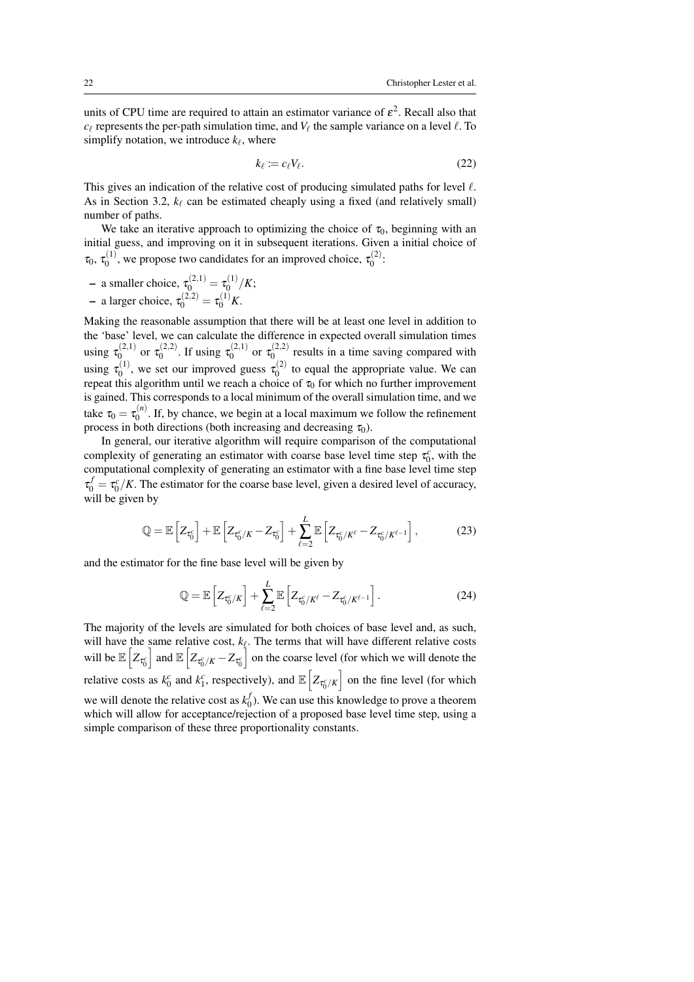units of CPU time are required to attain an estimator variance of  $\varepsilon^2$ . Recall also that  $c_{\ell}$  represents the per-path simulation time, and  $V_{\ell}$  the sample variance on a level  $\ell$ . To simplify notation, we introduce  $k_{\ell}$ , where

$$
k_{\ell} := c_{\ell} V_{\ell}.\tag{22}
$$

This gives an indication of the relative cost of producing simulated paths for level  $\ell$ . As in Section 3.2,  $k_\ell$  can be estimated cheaply using a fixed (and relatively small) number of paths.

We take an iterative approach to optimizing the choice of  $\tau_0$ , beginning with an initial guess, and improving on it in subsequent iterations. Given a initial choice of  $\tau_0, \, \tau_0^{(1)}$  $\mathbf{v}_0^{(1)}$ , we propose two candidates for an improved choice,  $\tau_0^{(2)}$  $\binom{2}{0}$ :

- a smaller choice,  $\tau_0^{(2,1)} = \tau_0^{(1)}$  $\frac{1}{0}$ <sup>(1)</sup>/K;  $-$  a larger choice,  $\tau_0^{(2,2)} = \tau_0^{(1)}K$ .

Making the reasonable assumption that there will be at least one level in addition to the 'base' level, we can calculate the difference in expected overall simulation times using  $\tau_0^{(2,1)}$  $\tau_0^{(2,1)}$  or  $\tau_0^{(2,2)}$  $\tau_0^{(2,2)}$ . If using  $\tau_0^{(2,1)}$  $\tau_0^{(2,1)}$  or  $\tau_0^{(2,2)}$  $\int_{0}^{\sqrt{2}}$  results in a time saving compared with using  $\tau_0^{(1)}$  $\tau_0^{(1)}$ , we set our improved guess  $\tau_0^{(2)}$  $t_0^{(2)}$  to equal the appropriate value. We can repeat this algorithm until we reach a choice of  $\tau_0$  for which no further improvement is gained. This corresponds to a local minimum of the overall simulation time, and we take  $\tau_0 = \tau_0^{(n)}$  $\int_0^{(n)}$ . If, by chance, we begin at a local maximum we follow the refinement process in both directions (both increasing and decreasing  $\tau_0$ ).

In general, our iterative algorithm will require comparison of the computational complexity of generating an estimator with coarse base level time step  $\tau_0^c$ , with the computational complexity of generating an estimator with a fine base level time step  $\tau_0^f = \tau_0^c/K$ . The estimator for the coarse base level, given a desired level of accuracy, will be given by

$$
\mathbb{Q} = \mathbb{E}\left[Z_{\tau_0^c}\right] + \mathbb{E}\left[Z_{\tau_0^c/K} - Z_{\tau_0^c}\right] + \sum_{\ell=2}^L \mathbb{E}\left[Z_{\tau_0^c/K^\ell} - Z_{\tau_0^c/K^{\ell-1}}\right],\tag{23}
$$

and the estimator for the fine base level will be given by

$$
\mathbb{Q} = \mathbb{E}\left[Z_{\tau_0^c/K}\right] + \sum_{\ell=2}^{L} \mathbb{E}\left[Z_{\tau_0^c/K^{\ell}} - Z_{\tau_0^c/K^{\ell-1}}\right].
$$
 (24)

The majority of the levels are simulated for both choices of base level and, as such, will have the same relative cost,  $k_{\ell}$ . The terms that will have different relative costs will be  $\mathbb{E}\left[Z_{\tau_0^c}\right]$ and  $\mathbb{E}\left[Z_{\tau_0^c/K}-Z_{\tau_0^c}\right]$  $\parallel$  on the coarse level (for which we will denote the relative costs as  $k_0^c$  and  $k_1^c$ , respectively), and  $\mathbb{E}\left[ Z_{\tau_0^c/K} \right]$  on the fine level (for which we will denote the relative cost as  $k_0^f$  $\binom{J}{0}$ . We can use this knowledge to prove a theorem which will allow for acceptance/rejection of a proposed base level time step, using a simple comparison of these three proportionality constants.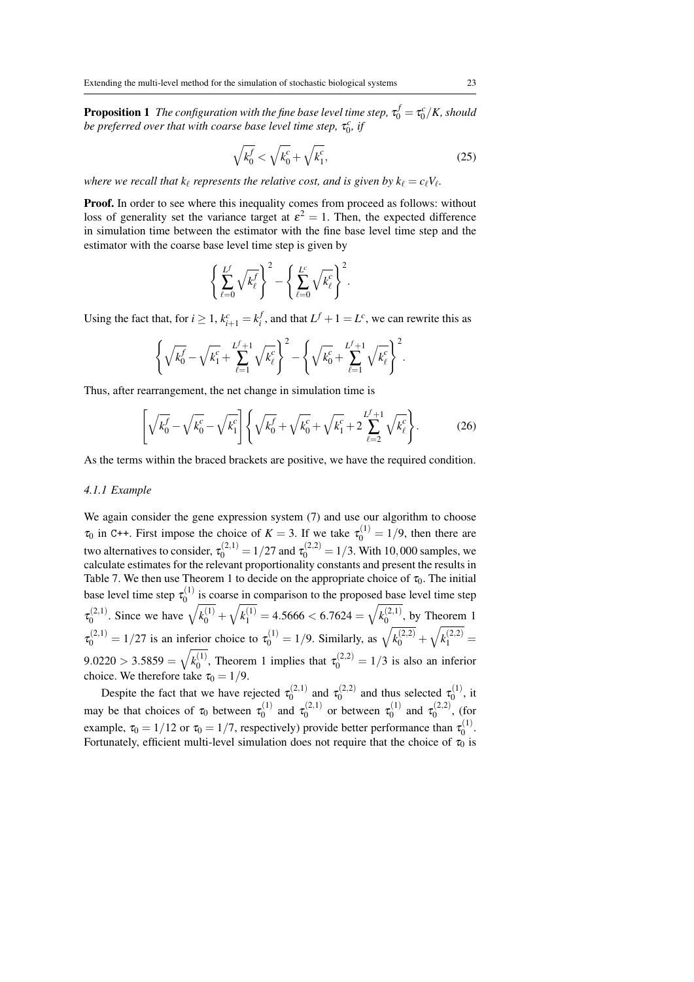**Proposition 1** The configuration with the fine base level time step,  $\tau_0^f = \tau_0^c/K$ , should be preferred over that with coarse base level time step,  $\tau_0^c$ , if

$$
\sqrt{k_0^f} < \sqrt{k_0^c} + \sqrt{k_1^c},\tag{25}
$$

*where we recall that*  $k_{\ell}$  *represents the relative cost, and is given by*  $k_{\ell} = c_{\ell} V_{\ell}$ *.* 

Proof. In order to see where this inequality comes from proceed as follows: without loss of generality set the variance target at  $\varepsilon^2 = 1$ . Then, the expected difference in simulation time between the estimator with the fine base level time step and the estimator with the coarse base level time step is given by

$$
\left\{\sum_{\ell=0}^{L^f} \sqrt{k_{\ell}^f}\right\}^2 - \left\{\sum_{\ell=0}^{L^c} \sqrt{k_{\ell}^c}\right\}^2.
$$

Using the fact that, for  $i \geq 1$ ,  $k_{i+1}^c = k_i^f$ , and that  $L^f + 1 = L^c$ , we can rewrite this as

$$
\left\{\sqrt{k_0^{\ell}}-\sqrt{k_1^{\ell}}+\sum_{\ell=1}^{L^{\ell}+1}\sqrt{k_{\ell}^{\ell}}\right\}^2-\left\{\sqrt{k_0^{\ell}}+\sum_{\ell=1}^{L^{\ell}+1}\sqrt{k_{\ell}^{\ell}}\right\}^2.
$$

Thus, after rearrangement, the net change in simulation time is

$$
\left[\sqrt{k_0^f} - \sqrt{k_0^c} - \sqrt{k_1^c}\right] \left\{ \sqrt{k_0^f} + \sqrt{k_0^c} + \sqrt{k_1^c} + 2\sum_{\ell=2}^{L^f+1} \sqrt{k_\ell^c} \right\}.
$$
 (26)

As the terms within the braced brackets are positive, we have the required condition.

# *4.1.1 Example*

We again consider the gene expression system (7) and use our algorithm to choose  $\tau_0$  in C++. First impose the choice of  $K = 3$ . If we take  $\tau_0^{(1)} = 1/9$ , then there are two alternatives to consider,  $\tau_0^{(2,1)} = 1/27$  and  $\tau_0^{(2,2)} = 1/3$ . With 10,000 samples, we calculate estimates for the relevant proportionality constants and present the results in Table 7. We then use Theorem 1 to decide on the appropriate choice of  $\tau_0$ . The initial base level time step  $\tau_0^{(1)}$  $\int_0^{(1)}$  is coarse in comparison to the proposed base level time step  $\tau_0^{(2,1)}$ <sup>(2,1)</sup>. Since we have  $\sqrt{k_0^{(1)}} + \sqrt{k_1^{(1)}} = 4.5666 < 6.7624 = \sqrt{k_0^{(2,1)}}$  $\binom{1}{0}$ , by Theorem 1  $\tau_0^{(2,1)} = 1/27$  is an inferior choice to  $\tau_0^{(1)} = 1/9$ . Similarly, as  $\sqrt{k_0^{(2,2)}} + \sqrt{k_1^{(2,2)}} =$  $9.0220 > 3.5859 = \sqrt{k_0^{(1)}}$  $\tau_0^{(1)}$ , Theorem 1 implies that  $\tau_0^{(2,2)} = 1/3$  is also an inferior choice. We therefore take  $\tau_0 = 1/9$ .

Despite the fact that we have rejected  $\tau_0^{(2,1)}$  $\tau_0^{(2,1)}$  and  $\tau_0^{(2,2)}$  $\tau_0^{(2,2)}$  and thus selected  $\tau_0^{(1)}$  $x_0^{(1)}$ , it may be that choices of  $\tau_0$  between  $\tau_0^{(1)}$  $\tau_0^{(1)}$  and  $\tau_0^{(2,1)}$  $\tau_0^{(2,1)}$  or between  $\tau_0^{(1)}$  $\tau_0^{(1)}$  and  $\tau_0^{(2,2)}$  $0^{(2,2)}$ , (for example,  $\tau_0 = 1/12$  or  $\tau_0 = 1/7$ , respectively) provide better performance than  $\tau_0^{(1)}$  $x_0^{(1)}$ . Fortunately, efficient multi-level simulation does not require that the choice of  $\tau_0$  is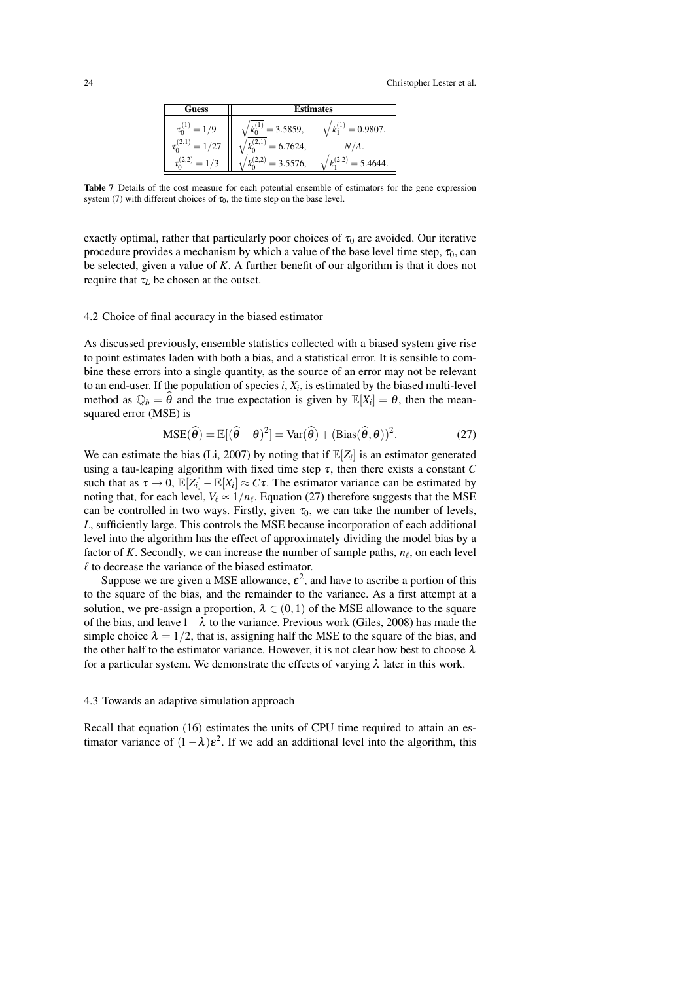

Table 7 Details of the cost measure for each potential ensemble of estimators for the gene expression system (7) with different choices of  $\tau_0$ , the time step on the base level.

exactly optimal, rather that particularly poor choices of  $\tau_0$  are avoided. Our iterative procedure provides a mechanism by which a value of the base level time step,  $\tau_0$ , can be selected, given a value of *K*. A further benefit of our algorithm is that it does not require that  $\tau_L$  be chosen at the outset.

#### 4.2 Choice of final accuracy in the biased estimator

As discussed previously, ensemble statistics collected with a biased system give rise to point estimates laden with both a bias, and a statistical error. It is sensible to combine these errors into a single quantity, as the source of an error may not be relevant to an end-user. If the population of species  $i, X_i$ , is estimated by the biased multi-level method as  $\mathbb{Q}_b = \theta$  and the true expectation is given by  $\mathbb{E}[X_i] = \theta$ , then the meansquared error (MSE) is

$$
MSE(\hat{\theta}) = \mathbb{E}[(\hat{\theta} - \theta)^2] = Var(\hat{\theta}) + (Bias(\hat{\theta}, \theta))^2.
$$
 (27)

We can estimate the bias (Li, 2007) by noting that if  $\mathbb{E}[Z_i]$  is an estimator generated using a tau-leaping algorithm with fixed time step  $\tau$ , then there exists a constant  $C$ such that as  $\tau \to 0$ ,  $\mathbb{E}[Z_i] - \mathbb{E}[X_i] \approx C\tau$ . The estimator variance can be estimated by noting that, for each level,  $V_\ell \propto 1/n_\ell$ . Equation (27) therefore suggests that the MSE can be controlled in two ways. Firstly, given  $\tau_0$ , we can take the number of levels, *L*, sufficiently large. This controls the MSE because incorporation of each additional level into the algorithm has the effect of approximately dividing the model bias by a factor of *K*. Secondly, we can increase the number of sample paths,  $n_\ell$ , on each level  $\ell$  to decrease the variance of the biased estimator.

Suppose we are given a MSE allowance,  $\varepsilon^2$ , and have to ascribe a portion of this to the square of the bias, and the remainder to the variance. As a first attempt at a solution, we pre-assign a proportion,  $\lambda \in (0,1)$  of the MSE allowance to the square of the bias, and leave  $1-\lambda$  to the variance. Previous work (Giles, 2008) has made the simple choice  $\lambda = 1/2$ , that is, assigning half the MSE to the square of the bias, and the other half to the estimator variance. However, it is not clear how best to choose  $\lambda$ for a particular system. We demonstrate the effects of varying  $\lambda$  later in this work.

#### 4.3 Towards an adaptive simulation approach

Recall that equation (16) estimates the units of CPU time required to attain an estimator variance of  $(1 - \lambda)\varepsilon^2$ . If we add an additional level into the algorithm, this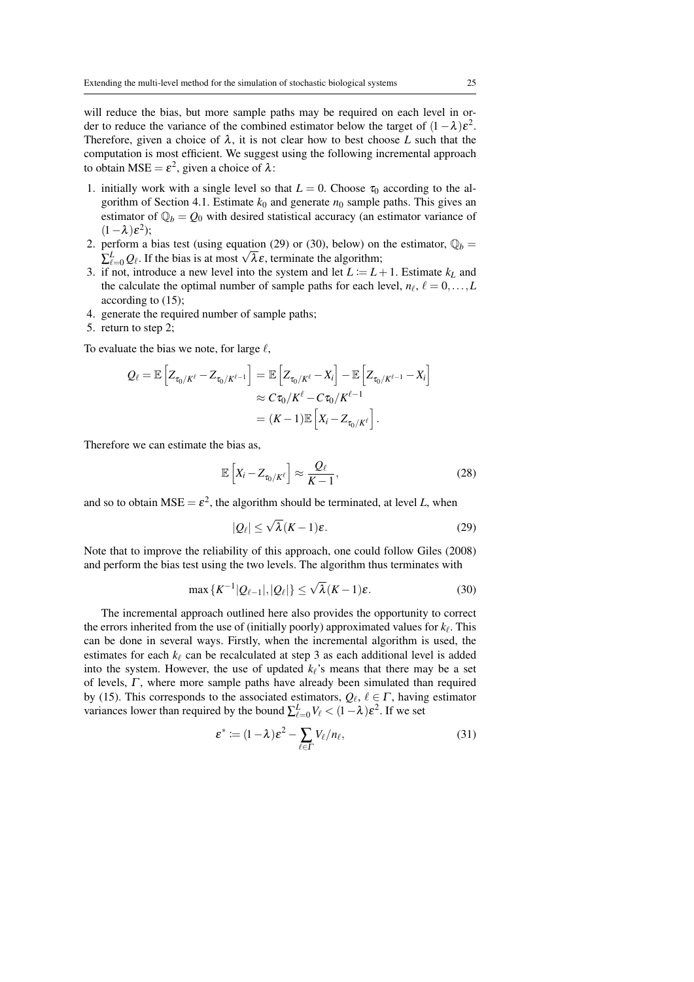will reduce the bias, but more sample paths may be required on each level in order to reduce the variance of the combined estimator below the target of  $(1 - \lambda)\varepsilon^2$ . Therefore, given a choice of  $\lambda$ , it is not clear how to best choose L such that the computation is most efficient. We suggest using the following incremental approach to obtain MSE =  $\varepsilon^2$ , given a choice of  $\lambda$ :

- 1. initially work with a single level so that  $L = 0$ . Choose  $\tau_0$  according to the algorithm of Section 4.1. Estimate  $k_0$  and generate  $n_0$  sample paths. This gives an estimator of  $\mathbb{Q}_b = \mathcal{Q}_0$  with desired statistical accuracy (an estimator variance of  $(1 - \lambda)\varepsilon^2$ ;
- 2. perform a bias test (using equation (29) or (30), below) on the estimator,  $\mathbb{Q}_b$  =  $\sum_{\ell=0}^{L} Q_{\ell}$ . If the bias is at most  $\sqrt{\lambda \varepsilon}$ , terminate the algorithm;
- 3. if not, introduce a new level into the system and let  $L := L + 1$ . Estimate  $k<sub>L</sub>$  and the calculate the optimal number of sample paths for each level,  $n_{\ell}, \ell = 0, \ldots, L$ according to (15);
- 4. generate the required number of sample paths;
- 5. return to step 2;

To evaluate the bias we note, for large  $\ell$ ,

$$
Q_{\ell} = \mathbb{E}\left[Z_{\tau_0/K^{\ell}} - Z_{\tau_0/K^{\ell-1}}\right] = \mathbb{E}\left[Z_{\tau_0/K^{\ell}} - X_i\right] - \mathbb{E}\left[Z_{\tau_0/K^{\ell-1}} - X_i\right]
$$

$$
\approx C\tau_0/K^{\ell} - C\tau_0/K^{\ell-1}
$$

$$
= (K-1)\mathbb{E}\left[X_i - Z_{\tau_0/K^{\ell}}\right].
$$

Therefore we can estimate the bias as,

$$
\mathbb{E}\left[X_i - Z_{\tau_0/K^\ell}\right] \approx \frac{Q_\ell}{K - 1},\tag{28}
$$

and so to obtain  $MSE = \varepsilon^2$ , the algorithm should be terminated, at level *L*, when

$$
|Q_{\ell}| \le \sqrt{\lambda} (K - 1)\varepsilon. \tag{29}
$$

Note that to improve the reliability of this approach, one could follow Giles (2008) and perform the bias test using the two levels. The algorithm thus terminates with

$$
\max\{K^{-1}|\mathcal{Q}_{\ell-1}|, |\mathcal{Q}_{\ell}|\} \le \sqrt{\lambda}(K-1)\varepsilon. \tag{30}
$$

The incremental approach outlined here also provides the opportunity to correct the errors inherited from the use of (initially poorly) approximated values for  $k_{\ell}$ . This can be done in several ways. Firstly, when the incremental algorithm is used, the estimates for each  $k_{\ell}$  can be recalculated at step 3 as each additional level is added into the system. However, the use of updated  $k_{\ell}$ 's means that there may be a set of levels,  $\Gamma$ , where more sample paths have already been simulated than required by (15). This corresponds to the associated estimators,  $Q_\ell, \ell \in \Gamma$ , having estimator variances lower than required by the bound  $\sum_{\ell=0}^{L} V_{\ell} < (1 - \lambda) \varepsilon^2$ . If we set

$$
\varepsilon^* := (1 - \lambda)\varepsilon^2 - \sum_{\ell \in \Gamma} V_{\ell}/n_{\ell},\tag{31}
$$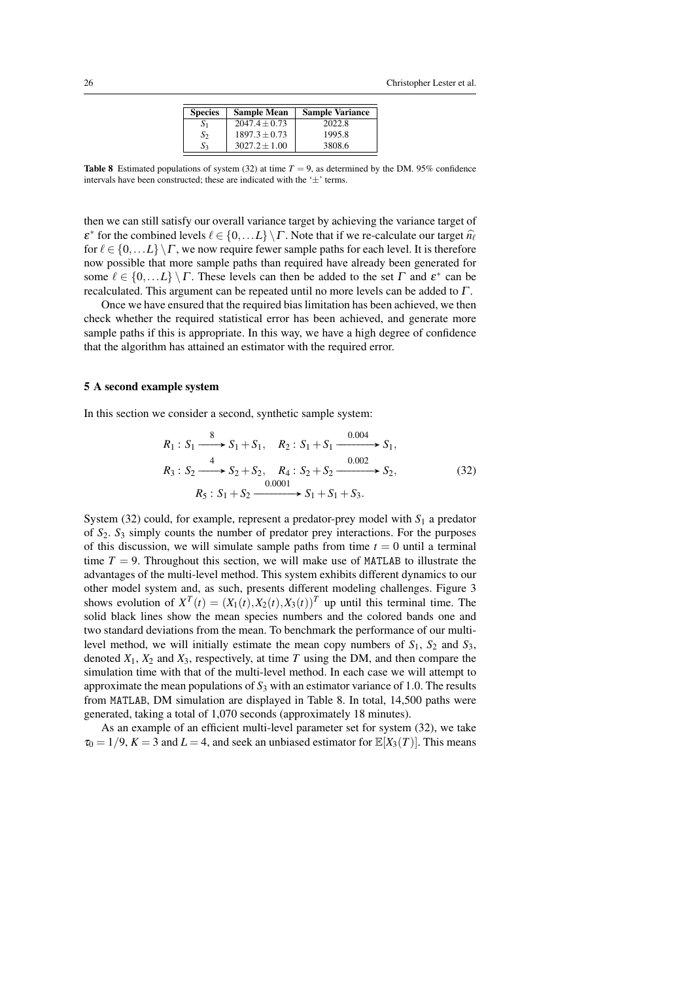| <b>Species</b> | <b>Sample Mean</b> | <b>Sample Variance</b> |
|----------------|--------------------|------------------------|
| $\mathcal{N}$  | $2047.4 + 0.73$    | 2022.8                 |
| $S_2$          | $1897.3 + 0.73$    | 1995.8                 |
| S3             | $3027.2 + 1.00$    | 3808.6                 |

**Table 8** Estimated populations of system (32) at time  $T = 9$ , as determined by the DM. 95% confidence intervals have been constructed; these are indicated with the  $\pm$ ' terms.

then we can still satisfy our overall variance target by achieving the variance target of  $\epsilon^*$  for the combined levels  $\ell \in \{0, \ldots L\} \setminus \Gamma$ . Note that if we re-calculate our target  $\hat{n}_{\ell}$ for  $\ell \in \{0,\ldots L\} \backslash \Gamma$ , we now require fewer sample paths for each level. It is therefore now possible that more sample paths than required have already been generated for some  $\ell \in \{0, \ldots L\} \setminus \Gamma$ . These levels can then be added to the set  $\Gamma$  and  $\varepsilon^*$  can be recalculated. This argument can be repeated until no more levels can be added to Γ .

Once we have ensured that the required bias limitation has been achieved, we then check whether the required statistical error has been achieved, and generate more sample paths if this is appropriate. In this way, we have a high degree of confidence that the algorithm has attained an estimator with the required error.

## 5 A second example system

In this section we consider a second, synthetic sample system:

$$
R_1: S_1 \xrightarrow{8} S_1 + S_1, \quad R_2: S_1 + S_1 \xrightarrow{0.004} S_1,
$$
  
\n
$$
R_3: S_2 \xrightarrow{4} S_2 + S_2, \quad R_4: S_2 + S_2 \xrightarrow{0.002} S_2,
$$
  
\n
$$
R_5: S_1 + S_2 \xrightarrow{0.0001} S_1 + S_1 + S_3.
$$
\n(32)

System  $(32)$  could, for example, represent a predator-prey model with  $S_1$  a predator of *S*2. *S*<sup>3</sup> simply counts the number of predator prey interactions. For the purposes of this discussion, we will simulate sample paths from time  $t = 0$  until a terminal time  $T = 9$ . Throughout this section, we will make use of MATLAB to illustrate the advantages of the multi-level method. This system exhibits different dynamics to our other model system and, as such, presents different modeling challenges. Figure 3 shows evolution of  $X^T(t) = (X_1(t), X_2(t), X_3(t))^T$  up until this terminal time. The solid black lines show the mean species numbers and the colored bands one and two standard deviations from the mean. To benchmark the performance of our multilevel method, we will initially estimate the mean copy numbers of  $S_1$ ,  $S_2$  and  $S_3$ , denoted  $X_1$ ,  $X_2$  and  $X_3$ , respectively, at time *T* using the DM, and then compare the simulation time with that of the multi-level method. In each case we will attempt to approximate the mean populations of *S*<sup>3</sup> with an estimator variance of 1.0. The results from MATLAB, DM simulation are displayed in Table 8. In total, 14,500 paths were generated, taking a total of 1,070 seconds (approximately 18 minutes).

As an example of an efficient multi-level parameter set for system (32), we take  $\tau_0 = 1/9$ ,  $K = 3$  and  $L = 4$ , and seek an unbiased estimator for  $\mathbb{E}[X_3(T)]$ . This means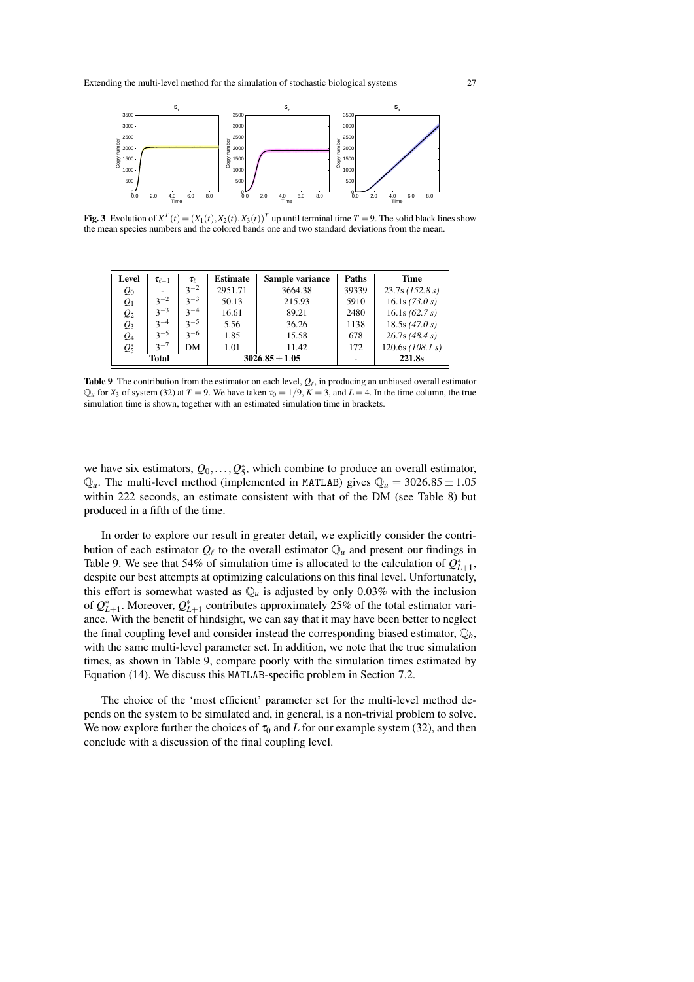

**Fig. 3** Evolution of  $X^T(t) = (X_1(t), X_2(t), X_3(t))^T$  up until terminal time  $T = 9$ . The solid black lines show the mean species numbers and the colored bands one and two standard deviations from the mean.

| Level                       | $\tau_{\ell-1}$ | $\tau_{\scriptscriptstyle{\rho}}$ | <b>Estimate</b> | Sample variance | Paths  | <b>Time</b>        |
|-----------------------------|-----------------|-----------------------------------|-----------------|-----------------|--------|--------------------|
| $Q_0$                       |                 | $3^{-2}$                          | 2951.71         | 3664.38         | 39339  | $23.7s$ (152.8 s)  |
| $Q_1$                       | $3^{-2}$        | $3^{-3}$                          | 50.13           | 215.93          | 5910   | 16.1s(73.0 s)      |
| $\mathcal{Q}_2$             | $3^{-3}$        | $3^{-4}$                          | 16.61           | 89.21           | 2480   | 16.1s $(62.7 s)$   |
| $\mathcal{Q}_3$             | $3 - 4$         | $3 - 5$                           | 5.56            | 36.26           | 1138   | 18.5s $(47.0 s)$   |
| $\mathcal{Q}_4$             | $3 - 5$         | $3 - 6$                           | 1.85            | 15.58           | 678    | 26.7s(48.4 s)      |
| $Q_5^*$                     | $3 - 7$         | DM                                | 1.01            | 11.42           | 172    | $120.6s$ (108.1 s) |
| $3026.85 \pm 1.05$<br>Total |                 |                                   |                 |                 | 221.8s |                    |

**Table 9** The contribution from the estimator on each level,  $Q_\ell$ , in producing an unbiased overall estimator  $\mathbb{Q}_u$  for  $X_3$  of system (32) at  $T = 9$ . We have taken  $\tau_0 = 1/9$ ,  $K = 3$ , and  $L = 4$ . In the time column, the true simulation time is shown, together with an estimated simulation time in brackets.

we have six estimators,  $Q_0, \ldots, Q_5^*$ , which combine to produce an overall estimator,  $\mathbb{Q}_u$ . The multi-level method (implemented in MATLAB) gives  $\mathbb{Q}_u = 3026.85 \pm 1.05$ within 222 seconds, an estimate consistent with that of the DM (see Table 8) but produced in a fifth of the time.

In order to explore our result in greater detail, we explicitly consider the contribution of each estimator  $Q_\ell$  to the overall estimator  $Q_u$  and present our findings in Table 9. We see that 54% of simulation time is allocated to the calculation of  $Q_{L+1}^*$ , despite our best attempts at optimizing calculations on this final level. Unfortunately, this effort is somewhat wasted as  $\mathbb{Q}_u$  is adjusted by only 0.03% with the inclusion of  $Q_{L+1}^*$ . Moreover,  $Q_{L+1}^*$  contributes approximately 25% of the total estimator variance. With the benefit of hindsight, we can say that it may have been better to neglect the final coupling level and consider instead the corresponding biased estimator,  $\mathbb{Q}_b$ , with the same multi-level parameter set. In addition, we note that the true simulation times, as shown in Table 9, compare poorly with the simulation times estimated by Equation (14). We discuss this MATLAB-specific problem in Section 7.2.

The choice of the 'most efficient' parameter set for the multi-level method depends on the system to be simulated and, in general, is a non-trivial problem to solve. We now explore further the choices of  $\tau_0$  and *L* for our example system (32), and then conclude with a discussion of the final coupling level.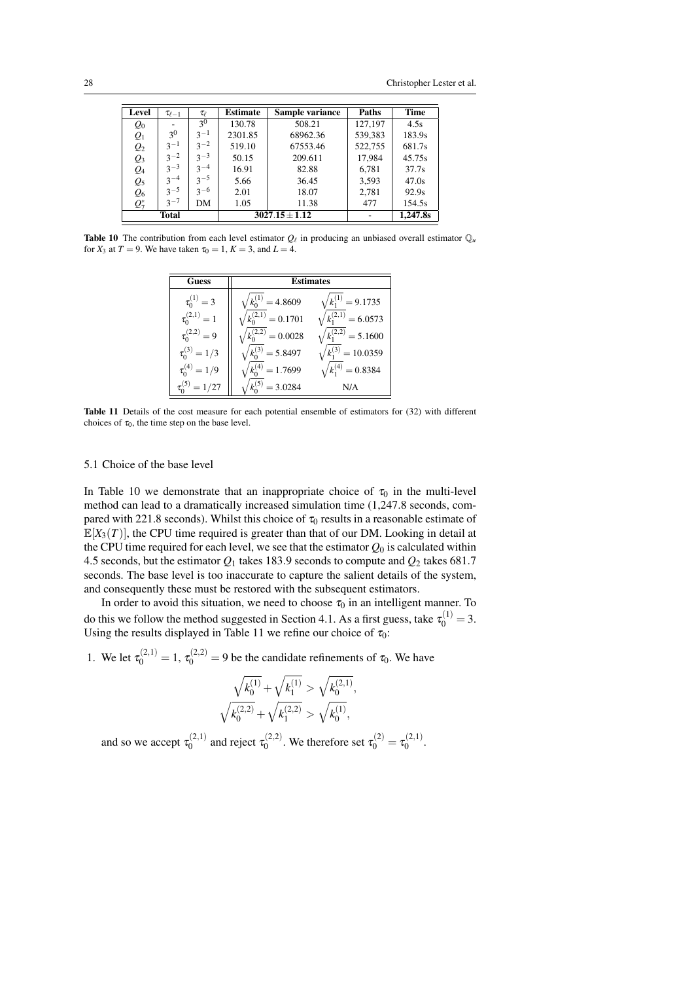| Level           | $\tau_{\ell-1}$ | $\tau_{\ell}$  | <b>Estimate</b> | Sample variance    | Paths   | <b>Time</b> |
|-----------------|-----------------|----------------|-----------------|--------------------|---------|-------------|
| $Q_0$           |                 | 3 <sup>0</sup> | 130.78          | 508.21             | 127.197 | 4.5s        |
| $Q_1$           | 3 <sup>0</sup>  | $3^{-1}$       | 2301.85         | 68962.36           | 539,383 | 183.9s      |
| $\mathcal{Q}_2$ | $3^{-1}$        | $3^{-2}$       | 519.10          | 67553.46           | 522,755 | 681.7s      |
| $\mathcal{Q}_3$ | $3^{-2}$        | $3^{-3}$       | 50.15           | 209.611            | 17,984  | 45.75s      |
| $Q_4$           | $3^{-3}$        | $3^{-4}$       | 16.91           | 82.88              | 6,781   | 37.7s       |
| $\mathcal{Q}_5$ | $3^{-4}$        | $3^{-5}$       | 5.66            | 36.45              | 3,593   | 47.0s       |
| $\mathcal{Q}_6$ | $3^{-5}$        | $3^{-6}$       | 2.01            | 18.07              | 2,781   | 92.9s       |
| $Q_7^*$         | $3^{-7}$        | DM             | 1.05            | 11.38              | 477     | 154.5s      |
|                 | Total           |                |                 | $3027.15 \pm 1.12$ |         | 1,247.8s    |

**Table 10** The contribution from each level estimator  $Q_\ell$  in producing an unbiased overall estimator  $Q_\mu$ for  $X_3$  at  $T = 9$ . We have taken  $\tau_0 = 1$ ,  $K = 3$ , and  $L = 4$ .

| <b>Guess</b>          | Estimates              |                               |  |  |  |
|-----------------------|------------------------|-------------------------------|--|--|--|
| $\tau_0^{(1)} = 3$    | $k_0^{(1)} = 4.8609$   | $\sqrt{k_1^{(1)}} = 9.1735$   |  |  |  |
| $\tau_{0}^{(2,1)}=1$  | $k_0^{(2,1)}=0.1701$   | $\sqrt{k_1^{(2,1)}} = 6.0573$ |  |  |  |
| $\tau_0^{(2,2)}=9$    | $k_0^{(2,2)}=0.0028$   | $k_1^{(2,2)} = 5.1600$        |  |  |  |
| $\tau_0^{(3)} = 1/3$  | $k_0^{(3)} = 5.8497$   | $\sqrt{k_1^{(3)}} = 10.0359$  |  |  |  |
| $\tau_0^{(4)} = 1/9$  | $k_0^{(4)} = 1.7699$   | $\sqrt{k_1^{(4)}} = 0.8384$   |  |  |  |
| $\tau_0^{(5)} = 1/27$ | $k_{0}^{(5)} = 3.0284$ | N/A                           |  |  |  |

Table 11 Details of the cost measure for each potential ensemble of estimators for (32) with different choices of  $\tau_0$ , the time step on the base level.

# 5.1 Choice of the base level

In Table 10 we demonstrate that an inappropriate choice of  $\tau_0$  in the multi-level method can lead to a dramatically increased simulation time (1,247.8 seconds, compared with 221.8 seconds). Whilst this choice of  $\tau_0$  results in a reasonable estimate of  $\mathbb{E}[X_3(T)]$ , the CPU time required is greater than that of our DM. Looking in detail at the CPU time required for each level, we see that the estimator  $Q_0$  is calculated within 4.5 seconds, but the estimator *Q*<sup>1</sup> takes 183.9 seconds to compute and *Q*<sup>2</sup> takes 681.7 seconds. The base level is too inaccurate to capture the salient details of the system, and consequently these must be restored with the subsequent estimators.

In order to avoid this situation, we need to choose  $\tau_0$  in an intelligent manner. To do this we follow the method suggested in Section 4.1. As a first guess, take  $\tau_0^{(1)} = 3$ . Using the results displayed in Table 11 we refine our choice of  $\tau_0$ :

1. We let  $\tau_0^{(2,1)} = 1$ ,  $\tau_0^{(2,2)} = 9$  be the candidate refinements of  $\tau_0$ . We have

$$
\sqrt{k^{(1)}_0} + \sqrt{k^{(1)}_1} > \sqrt{k^{(2,1)}_0}
$$
  

$$
\sqrt{k^{(2,2)}_0} + \sqrt{k^{(2,2)}_1} > \sqrt{k^{(1)}_0},
$$

,

and so we accept  $\tau_0^{(2,1)}$  $\tau_0^{(2,1)}$  and reject  $\tau_0^{(2,2)}$ .<sup>(2,2)</sup>. We therefore set  $\tau_0^{(2)} = \tau_0^{(2,1)}$  $x_0^{(2,1)}.$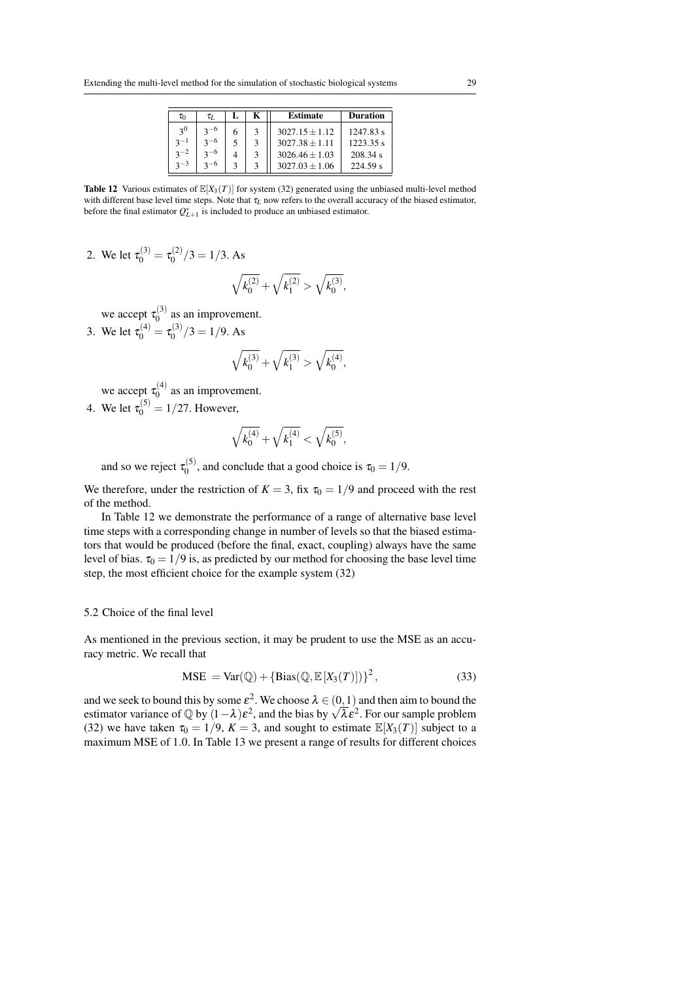| $\tau_0$       | $\tau_L$ |   | <b>Estimate</b>    | <b>Duration</b> |
|----------------|----------|---|--------------------|-----------------|
| 3 <sup>0</sup> | $2 - 6$  | 6 | $3027.15 + 1.12$   | $1247.83$ s     |
| $2^{-1}$       | $3 - 6$  |   | $3027.38 + 1.11$   | 1223.35 s       |
| $2^{-2}$       | $3^{-6}$ |   | $3026.46 + 1.03$   | 208.34 s        |
| $2 - 3$        | $2 - 6$  | κ | $3027.03 \pm 1.06$ | 224.59 s        |

**Table 12** Various estimates of  $\mathbb{E}[X_3(T)]$  for system (32) generated using the unbiased multi-level method with different base level time steps. Note that τ<sub>*L*</sub> now refers to the overall accuracy of the biased estimator, before the final estimator  $Q_{L+1}^*$  is included to produce an unbiased estimator.

2. We let  $\tau_0^{(3)} = \tau_0^{(2)}$  $\binom{1}{0}$ /3 = 1/3. As

$$
\sqrt{k^{(2)}_0}+\sqrt{k^{(2)}_1}>\sqrt{k^{(3)}_0},
$$

we accept  $\tau_0^{(3)}$  $\frac{1}{0}$  as an improvement.

3. We let  $\tau_0^{(4)} = \tau_0^{(3)}$  $\binom{13}{0}$ /3 = 1/9. As

$$
\sqrt{k^{(3)}_0}+\sqrt{k^{(3)}_1}>\sqrt{k^{(4)}_0},
$$

we accept  $\tau_0^{(4)}$  $n_0^{(4)}$  as an improvement.

4. We let  $\tau_0^{(5)} = 1/27$ . However,

$$
\sqrt{k^{(4)}_0}+\sqrt{k^{(4)}_1}<\sqrt{k^{(5)}_0},
$$

and so we reject  $\tau_0^{(5)}$  $\tau_0^{(0)}$ , and conclude that a good choice is  $\tau_0 = 1/9$ .

We therefore, under the restriction of  $K = 3$ , fix  $\tau_0 = 1/9$  and proceed with the rest of the method.

In Table 12 we demonstrate the performance of a range of alternative base level time steps with a corresponding change in number of levels so that the biased estimators that would be produced (before the final, exact, coupling) always have the same level of bias.  $\tau_0 = 1/9$  is, as predicted by our method for choosing the base level time step, the most efficient choice for the example system (32)

#### 5.2 Choice of the final level

As mentioned in the previous section, it may be prudent to use the MSE as an accuracy metric. We recall that

$$
MSE = Var(\mathbb{Q}) + \{Bias(\mathbb{Q}, \mathbb{E}[X_3(T)])\}^2,
$$
\n(33)

and we seek to bound this by some  $\varepsilon^2$ . We choose  $\lambda \in (0,1)$  and then aim to bound the estimator variance of  $\mathbb{Q}$  by  $(1 - \lambda)\varepsilon^2$ , and the bias by  $\sqrt{\lambda} \varepsilon^2$ . For our sample problem (32) we have taken  $\tau_0 = 1/9$ ,  $K = 3$ , and sought to estimate  $\mathbb{E}[X_3(T)]$  subject to a maximum MSE of 1.0. In Table 13 we present a range of results for different choices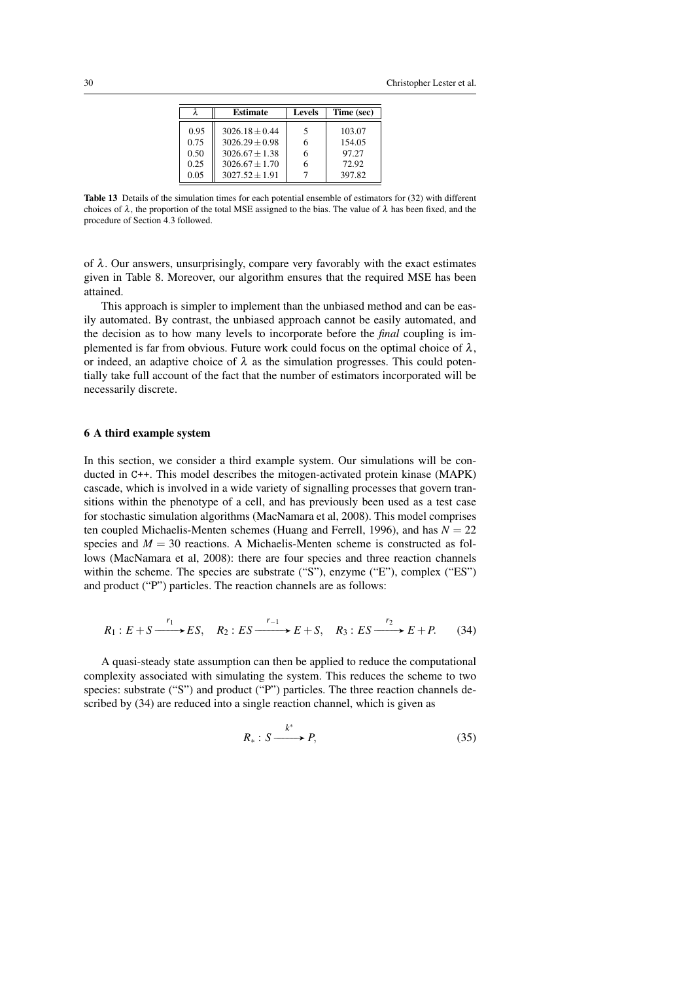|      | <b>Estimate</b>  | <b>Levels</b> | Time (sec) |
|------|------------------|---------------|------------|
|      |                  |               |            |
| 0.95 | $3026.18 + 0.44$ | 5             | 103.07     |
| 0.75 | $3026.29 + 0.98$ | 6             | 154.05     |
| 0.50 | $3026.67 + 1.38$ | 6             | 97.27      |
| 0.25 | $3026.67 + 1.70$ | 6             | 72.92      |
| 0.05 | $3027.52 + 1.91$ |               | 397.82     |

Table 13 Details of the simulation times for each potential ensemble of estimators for (32) with different choices of  $\lambda$ , the proportion of the total MSE assigned to the bias. The value of  $\lambda$  has been fixed, and the procedure of Section 4.3 followed.

of  $\lambda$ . Our answers, unsurprisingly, compare very favorably with the exact estimates given in Table 8. Moreover, our algorithm ensures that the required MSE has been attained.

This approach is simpler to implement than the unbiased method and can be easily automated. By contrast, the unbiased approach cannot be easily automated, and the decision as to how many levels to incorporate before the *final* coupling is implemented is far from obvious. Future work could focus on the optimal choice of  $\lambda$ , or indeed, an adaptive choice of  $\lambda$  as the simulation progresses. This could potentially take full account of the fact that the number of estimators incorporated will be necessarily discrete.

## 6 A third example system

In this section, we consider a third example system. Our simulations will be conducted in C++. This model describes the mitogen-activated protein kinase (MAPK) cascade, which is involved in a wide variety of signalling processes that govern transitions within the phenotype of a cell, and has previously been used as a test case for stochastic simulation algorithms (MacNamara et al, 2008). This model comprises ten coupled Michaelis-Menten schemes (Huang and Ferrell, 1996), and has  $N = 22$ species and  $M = 30$  reactions. A Michaelis-Menten scheme is constructed as follows (MacNamara et al, 2008): there are four species and three reaction channels within the scheme. The species are substrate ("S"), enzyme ("E"), complex ("ES") and product ("P") particles. The reaction channels are as follows:

$$
R_1: E + S \xrightarrow{r_1} ES, \quad R_2: ES \xrightarrow{r_{-1}} E + S, \quad R_3: ES \xrightarrow{r_2} E + P. \tag{34}
$$

A quasi-steady state assumption can then be applied to reduce the computational complexity associated with simulating the system. This reduces the scheme to two species: substrate ("S") and product ("P") particles. The three reaction channels described by (34) are reduced into a single reaction channel, which is given as

$$
R_*: S \xrightarrow{k^*} P,
$$
\n<sup>(35)</sup>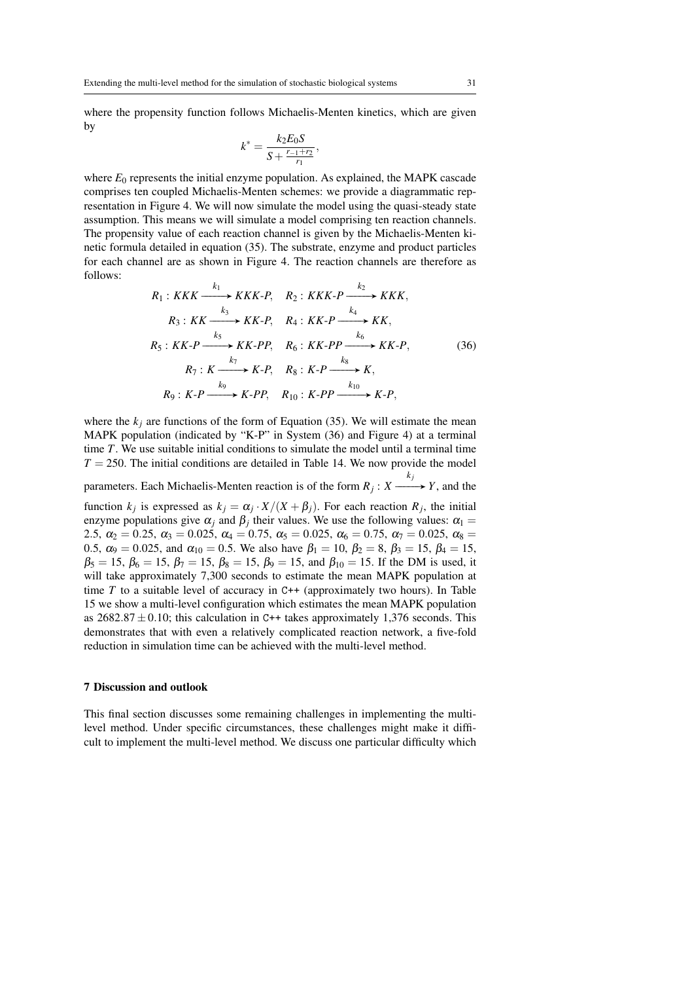where the propensity function follows Michaelis-Menten kinetics, which are given by

$$
k^* = \frac{k_2 E_0 S}{S + \frac{r_{-1} + r_2}{r_1}},
$$

where  $E_0$  represents the initial enzyme population. As explained, the MAPK cascade comprises ten coupled Michaelis-Menten schemes: we provide a diagrammatic representation in Figure 4. We will now simulate the model using the quasi-steady state assumption. This means we will simulate a model comprising ten reaction channels. The propensity value of each reaction channel is given by the Michaelis-Menten kinetic formula detailed in equation (35). The substrate, enzyme and product particles for each channel are as shown in Figure 4. The reaction channels are therefore as follows:

$$
R_1: KKK \xrightarrow{k_1} KKK-P, \quad R_2: KKK-P \xrightarrow{k_2} KKK,
$$
  
\n
$$
R_3: KK \xrightarrow{k_3} KK-P, \quad R_4: KK-P \xrightarrow{k_4} KK,
$$
  
\n
$$
R_5: KK-P \xrightarrow{k_5} KK-PP, \quad R_6: KK-PP \xrightarrow{k_6} KK-P,
$$
  
\n
$$
R_7: K \xrightarrow{k_7} K-P, \quad R_8: K-P \xrightarrow{k_8} K,
$$
  
\n
$$
R_9: K-P \xrightarrow{k_9} K-PP, \quad R_{10}: K-PP \xrightarrow{k_{10}} K-P,
$$
  
\n(36)

where the  $k_j$  are functions of the form of Equation (35). We will estimate the mean MAPK population (indicated by "K-P" in System (36) and Figure 4) at a terminal time *T*. We use suitable initial conditions to simulate the model until a terminal time  $T = 250$ . The initial conditions are detailed in Table 14. We now provide the model

parameters. Each Michaelis-Menten reaction is of the form *R<sup>j</sup>* : *X*  $\xrightarrow{k_j} Y$ , and the

function  $k_j$  is expressed as  $k_j = \alpha_j \cdot X/(X + \beta_j)$ . For each reaction  $R_j$ , the initial enzyme populations give  $\alpha_j$  and  $\beta_j$  their values. We use the following values:  $\alpha_1 =$ 2.5,  $\alpha_2 = 0.25$ ,  $\alpha_3 = 0.025$ ,  $\alpha_4 = 0.75$ ,  $\alpha_5 = 0.025$ ,  $\alpha_6 = 0.75$ ,  $\alpha_7 = 0.025$ ,  $\alpha_8 =$ 0.5,  $\alpha_9 = 0.025$ , and  $\alpha_{10} = 0.5$ . We also have  $\beta_1 = 10$ ,  $\beta_2 = 8$ ,  $\beta_3 = 15$ ,  $\beta_4 = 15$ ,  $\beta_5 = 15$ ,  $\beta_6 = 15$ ,  $\beta_7 = 15$ ,  $\beta_8 = 15$ ,  $\beta_9 = 15$ , and  $\beta_{10} = 15$ . If the DM is used, it will take approximately 7,300 seconds to estimate the mean MAPK population at time  $T$  to a suitable level of accuracy in  $C++$  (approximately two hours). In Table 15 we show a multi-level configuration which estimates the mean MAPK population as  $2682.87 \pm 0.10$ ; this calculation in C++ takes approximately 1,376 seconds. This demonstrates that with even a relatively complicated reaction network, a five-fold reduction in simulation time can be achieved with the multi-level method.

#### 7 Discussion and outlook

This final section discusses some remaining challenges in implementing the multilevel method. Under specific circumstances, these challenges might make it difficult to implement the multi-level method. We discuss one particular difficulty which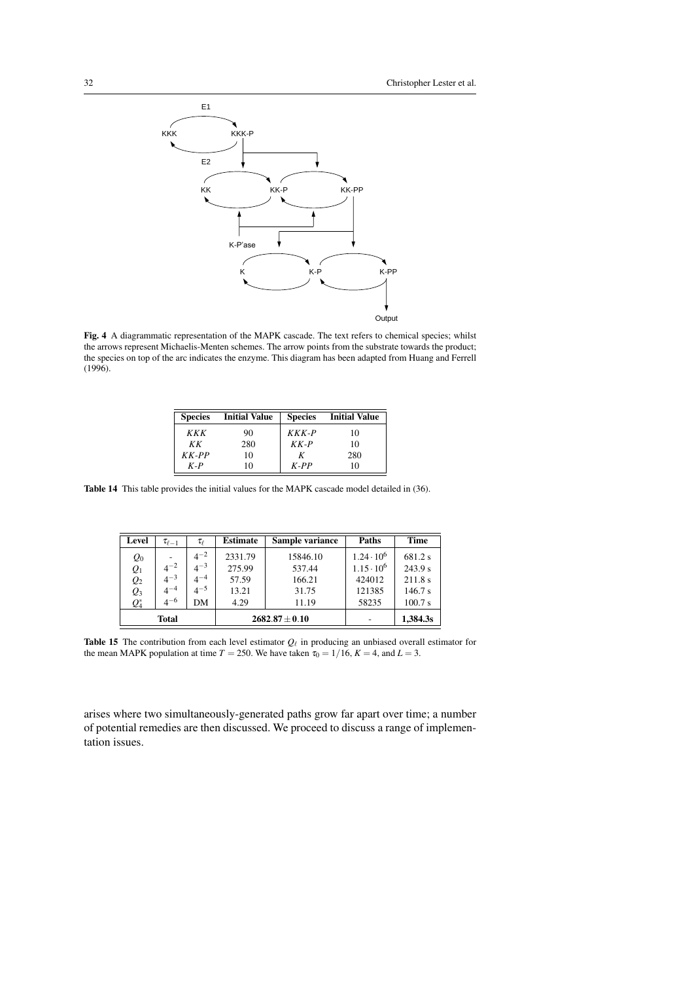

Fig. 4 A diagrammatic representation of the MAPK cascade. The text refers to chemical species; whilst the arrows represent Michaelis-Menten schemes. The arrow points from the substrate towards the product; the species on top of the arc indicates the enzyme. This diagram has been adapted from Huang and Ferrell (1996).

| <b>Species</b> | <b>Initial Value</b> | <b>Species</b> | <b>Initial Value</b> |
|----------------|----------------------|----------------|----------------------|
| KKK            | 90                   | $KKK$ -P       | 10                   |
| KК             | 280                  | $KK-P$         | 10                   |
| $KK-PP$        | 10                   | К              | 280                  |
| $K-P$          | 10                   | $K-PP$         | 10                   |

Table 14 This table provides the initial values for the MAPK cascade model detailed in (36).

| Level                            | $\tau_{\ell-1}$ | $\tau_{\ell}$ | <b>Estimate</b><br>Sample variance |          | Paths             | <b>Time</b> |
|----------------------------------|-----------------|---------------|------------------------------------|----------|-------------------|-------------|
| $\varrho_{\scriptscriptstyle 0}$ |                 | $4^{-2}$      | 2331.79                            | 15846.10 | $1.24 \cdot 10^6$ | 681.2 s     |
| $Q_1$                            | $4^{-2}$        | $4^{-3}$      | 275.99                             | 537.44   | $1.15 \cdot 10^6$ | 243.9 s     |
| $\mathcal{Q}_2$                  | $4^{-3}$        | $4^{-4}$      | 57.59                              | 166.21   | 424012            | 211.8 s     |
| $Q_3$                            | $4^{-4}$        | $4^{-5}$      | 13.21                              | 31.75    | 121385            | 146.7 s     |
| $Q_4^*$                          | $4^{-6}$        | DМ            | 4.29                               | 11.19    | 58235             | 100.7 s     |
| <b>Total</b>                     |                 |               | $2682.87 \pm 0.10$                 |          | 1,384.3s          |             |

**Table 15** The contribution from each level estimator  $Q_\ell$  in producing an unbiased overall estimator for the mean MAPK population at time  $T = 250$ . We have taken  $\tau_0 = 1/16$ ,  $K = 4$ , and  $L = 3$ .

arises where two simultaneously-generated paths grow far apart over time; a number of potential remedies are then discussed. We proceed to discuss a range of implementation issues.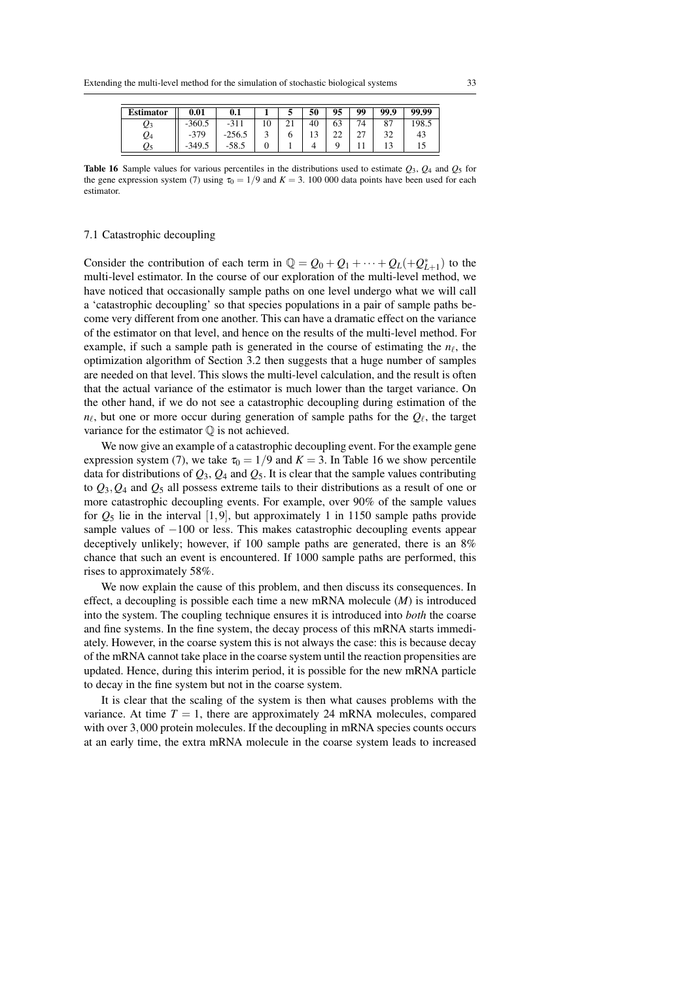| <b>Estimator</b> | 0.01       | 0.1      |    | 50 | 95      | 99      | 99.9     | 99.99 |
|------------------|------------|----------|----|----|---------|---------|----------|-------|
| Q3               | $-360.5$   | $-311$   | 10 | 40 | 63      | 74      | oп<br>ο. | 198.5 |
| Q4               | $-379$     | $-256.5$ |    |    | nη<br>∸ | ጎግ<br>∠ | 32       | 43    |
| Q5               | 349.5<br>- | $-58.5$  |    |    |         |         |          | IJ    |

Table 16 Sample values for various percentiles in the distributions used to estimate *Q*3, *Q*<sup>4</sup> and *Q*<sup>5</sup> for the gene expression system (7) using  $\tau_0 = 1/9$  and  $K = 3.100 000$  data points have been used for each estimator.

# 7.1 Catastrophic decoupling

Consider the contribution of each term in  $\mathbb{Q} = Q_0 + Q_1 + \cdots + Q_L(+Q_{L+1}^*)$  to the multi-level estimator. In the course of our exploration of the multi-level method, we have noticed that occasionally sample paths on one level undergo what we will call a 'catastrophic decoupling' so that species populations in a pair of sample paths become very different from one another. This can have a dramatic effect on the variance of the estimator on that level, and hence on the results of the multi-level method. For example, if such a sample path is generated in the course of estimating the  $n_\ell$ , the optimization algorithm of Section 3.2 then suggests that a huge number of samples are needed on that level. This slows the multi-level calculation, and the result is often that the actual variance of the estimator is much lower than the target variance. On the other hand, if we do not see a catastrophic decoupling during estimation of the  $n_\ell$ , but one or more occur during generation of sample paths for the  $Q_\ell$ , the target variance for the estimator  $\mathbb Q$  is not achieved.

We now give an example of a catastrophic decoupling event. For the example gene expression system (7), we take  $\tau_0 = 1/9$  and  $K = 3$ . In Table 16 we show percentile data for distributions of  $Q_3$ ,  $Q_4$  and  $Q_5$ . It is clear that the sample values contributing to  $Q_3$ ,  $Q_4$  and  $Q_5$  all possess extreme tails to their distributions as a result of one or more catastrophic decoupling events. For example, over 90% of the sample values for  $Q_5$  lie in the interval  $[1, 9]$ , but approximately 1 in 1150 sample paths provide sample values of −100 or less. This makes catastrophic decoupling events appear deceptively unlikely; however, if 100 sample paths are generated, there is an 8% chance that such an event is encountered. If 1000 sample paths are performed, this rises to approximately 58%.

We now explain the cause of this problem, and then discuss its consequences. In effect, a decoupling is possible each time a new mRNA molecule (*M*) is introduced into the system. The coupling technique ensures it is introduced into *both* the coarse and fine systems. In the fine system, the decay process of this mRNA starts immediately. However, in the coarse system this is not always the case: this is because decay of the mRNA cannot take place in the coarse system until the reaction propensities are updated. Hence, during this interim period, it is possible for the new mRNA particle to decay in the fine system but not in the coarse system.

It is clear that the scaling of the system is then what causes problems with the variance. At time  $T = 1$ , there are approximately 24 mRNA molecules, compared with over 3,000 protein molecules. If the decoupling in mRNA species counts occurs at an early time, the extra mRNA molecule in the coarse system leads to increased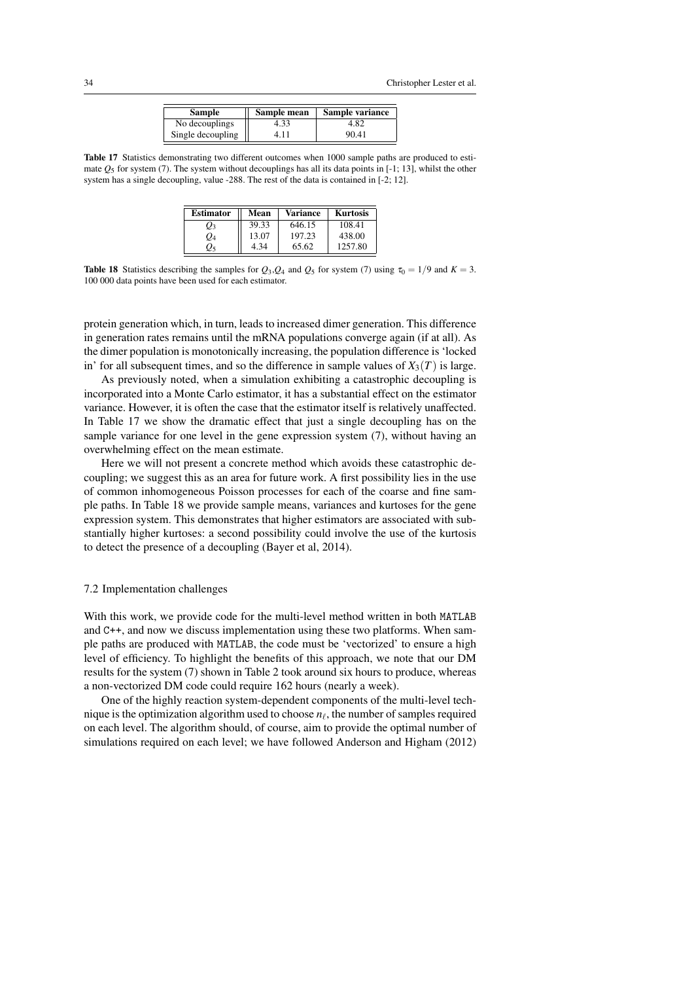| Sample            | Sample mean | Sample variance |
|-------------------|-------------|-----------------|
| No decouplings    | 4.33        | 4.82            |
| Single decoupling | 411         | 90.41           |

Table 17 Statistics demonstrating two different outcomes when 1000 sample paths are produced to estimate  $O_5$  for system (7). The system without decouplings has all its data points in [-1; 13], whilst the other system has a single decoupling, value -288. The rest of the data is contained in [-2; 12].

| <b>Estimator</b> | Mean  | Variance | <b>Kurtosis</b> |
|------------------|-------|----------|-----------------|
| $\varrho_3$      | 39.33 | 646.15   | 108.41          |
| Ο4               | 13.07 | 197.23   | 438.00          |
| りょ               | 4 34  | 65.62    | 1257.80         |

**Table 18** Statistics describing the samples for  $Q_3$ ,  $Q_4$  and  $Q_5$  for system (7) using  $\tau_0 = 1/9$  and  $K = 3$ . 100 000 data points have been used for each estimator.

protein generation which, in turn, leads to increased dimer generation. This difference in generation rates remains until the mRNA populations converge again (if at all). As the dimer population is monotonically increasing, the population difference is 'locked in' for all subsequent times, and so the difference in sample values of  $X_3(T)$  is large.

As previously noted, when a simulation exhibiting a catastrophic decoupling is incorporated into a Monte Carlo estimator, it has a substantial effect on the estimator variance. However, it is often the case that the estimator itself is relatively unaffected. In Table 17 we show the dramatic effect that just a single decoupling has on the sample variance for one level in the gene expression system (7), without having an overwhelming effect on the mean estimate.

Here we will not present a concrete method which avoids these catastrophic decoupling; we suggest this as an area for future work. A first possibility lies in the use of common inhomogeneous Poisson processes for each of the coarse and fine sample paths. In Table 18 we provide sample means, variances and kurtoses for the gene expression system. This demonstrates that higher estimators are associated with substantially higher kurtoses: a second possibility could involve the use of the kurtosis to detect the presence of a decoupling (Bayer et al, 2014).

## 7.2 Implementation challenges

With this work, we provide code for the multi-level method written in both MATLAB and C++, and now we discuss implementation using these two platforms. When sample paths are produced with MATLAB, the code must be 'vectorized' to ensure a high level of efficiency. To highlight the benefits of this approach, we note that our DM results for the system (7) shown in Table 2 took around six hours to produce, whereas a non-vectorized DM code could require 162 hours (nearly a week).

One of the highly reaction system-dependent components of the multi-level technique is the optimization algorithm used to choose  $n_\ell$ , the number of samples required on each level. The algorithm should, of course, aim to provide the optimal number of simulations required on each level; we have followed Anderson and Higham (2012)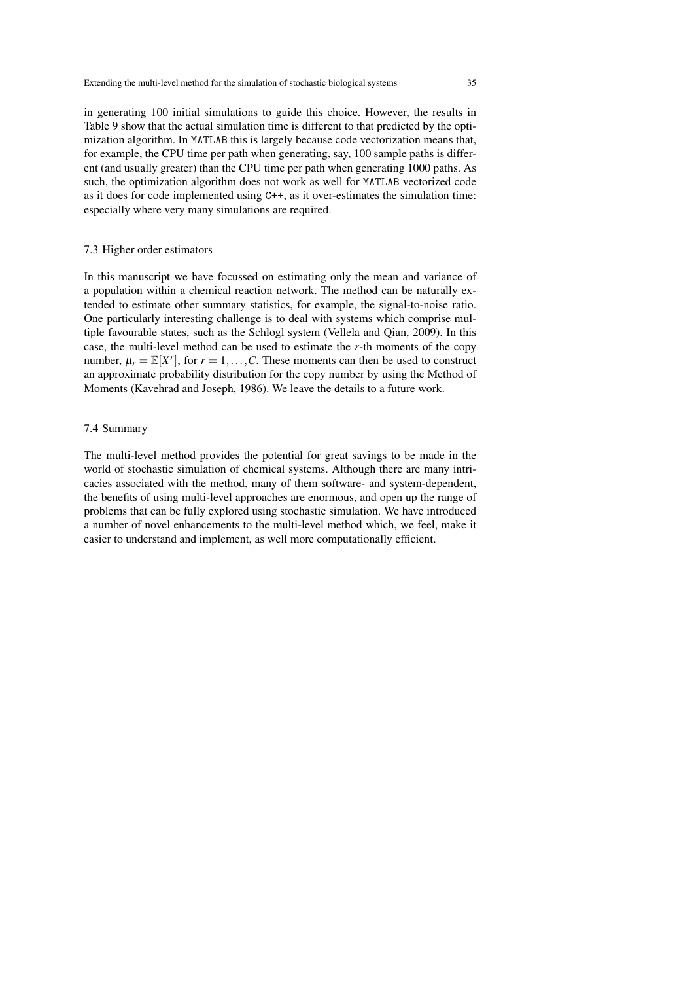in generating 100 initial simulations to guide this choice. However, the results in Table 9 show that the actual simulation time is different to that predicted by the optimization algorithm. In MATLAB this is largely because code vectorization means that, for example, the CPU time per path when generating, say, 100 sample paths is different (and usually greater) than the CPU time per path when generating 1000 paths. As such, the optimization algorithm does not work as well for MATLAB vectorized code as it does for code implemented using C++, as it over-estimates the simulation time: especially where very many simulations are required.

#### 7.3 Higher order estimators

In this manuscript we have focussed on estimating only the mean and variance of a population within a chemical reaction network. The method can be naturally extended to estimate other summary statistics, for example, the signal-to-noise ratio. One particularly interesting challenge is to deal with systems which comprise multiple favourable states, such as the Schlogl system (Vellela and Qian, 2009). In this case, the multi-level method can be used to estimate the *r*-th moments of the copy number,  $\mu_r = \mathbb{E}[X^r]$ , for  $r = 1, \ldots, C$ . These moments can then be used to construct an approximate probability distribution for the copy number by using the Method of Moments (Kavehrad and Joseph, 1986). We leave the details to a future work.

## 7.4 Summary

The multi-level method provides the potential for great savings to be made in the world of stochastic simulation of chemical systems. Although there are many intricacies associated with the method, many of them software- and system-dependent, the benefits of using multi-level approaches are enormous, and open up the range of problems that can be fully explored using stochastic simulation. We have introduced a number of novel enhancements to the multi-level method which, we feel, make it easier to understand and implement, as well more computationally efficient.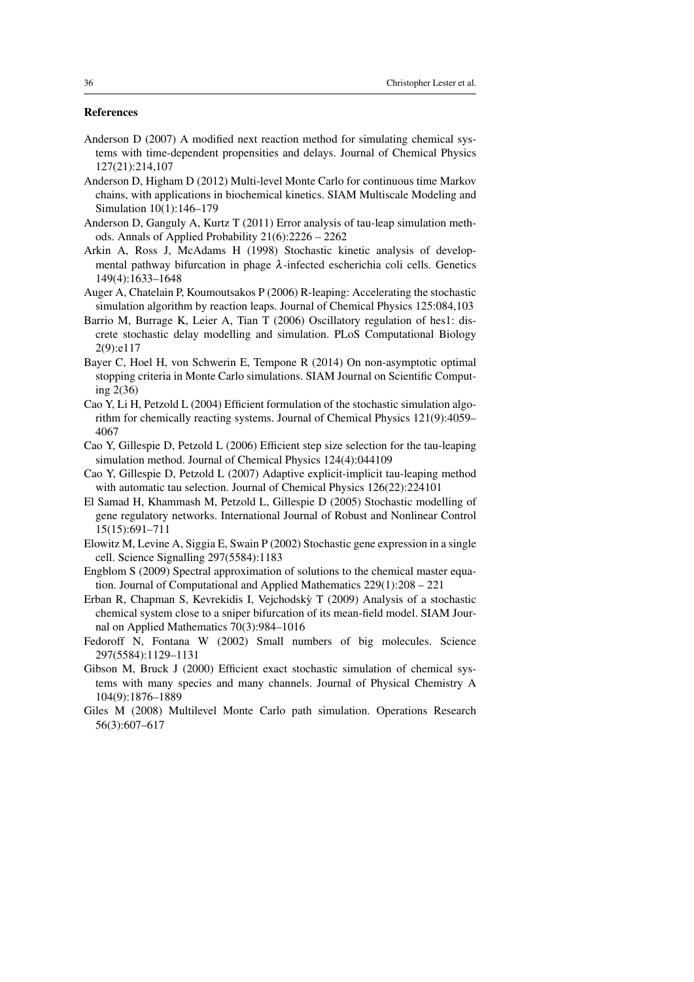# References

- Anderson D (2007) A modified next reaction method for simulating chemical systems with time-dependent propensities and delays. Journal of Chemical Physics 127(21):214,107
- Anderson D, Higham D (2012) Multi-level Monte Carlo for continuous time Markov chains, with applications in biochemical kinetics. SIAM Multiscale Modeling and Simulation 10(1):146–179
- Anderson D, Ganguly A, Kurtz T (2011) Error analysis of tau-leap simulation methods. Annals of Applied Probability 21(6):2226 – 2262
- Arkin A, Ross J, McAdams H (1998) Stochastic kinetic analysis of developmental pathway bifurcation in phage  $\lambda$ -infected escherichia coli cells. Genetics 149(4):1633–1648
- Auger A, Chatelain P, Koumoutsakos P (2006) R-leaping: Accelerating the stochastic simulation algorithm by reaction leaps. Journal of Chemical Physics 125:084,103
- Barrio M, Burrage K, Leier A, Tian T (2006) Oscillatory regulation of hes1: discrete stochastic delay modelling and simulation. PLoS Computational Biology 2(9):e117
- Bayer C, Hoel H, von Schwerin E, Tempone R (2014) On non-asymptotic optimal stopping criteria in Monte Carlo simulations. SIAM Journal on Scientific Computing 2(36)
- Cao Y, Li H, Petzold L (2004) Efficient formulation of the stochastic simulation algorithm for chemically reacting systems. Journal of Chemical Physics 121(9):4059– 4067
- Cao Y, Gillespie D, Petzold L (2006) Efficient step size selection for the tau-leaping simulation method. Journal of Chemical Physics 124(4):044109
- Cao Y, Gillespie D, Petzold L (2007) Adaptive explicit-implicit tau-leaping method with automatic tau selection. Journal of Chemical Physics 126(22):224101
- El Samad H, Khammash M, Petzold L, Gillespie D (2005) Stochastic modelling of gene regulatory networks. International Journal of Robust and Nonlinear Control 15(15):691–711
- Elowitz M, Levine A, Siggia E, Swain P (2002) Stochastic gene expression in a single cell. Science Signalling 297(5584):1183
- Engblom S (2009) Spectral approximation of solutions to the chemical master equation. Journal of Computational and Applied Mathematics 229(1):208 – 221
- Erban R, Chapman S, Kevrekidis I, Vejchodsky T (2009) Analysis of a stochastic ` chemical system close to a sniper bifurcation of its mean-field model. SIAM Journal on Applied Mathematics 70(3):984–1016
- Fedoroff N, Fontana W (2002) Small numbers of big molecules. Science 297(5584):1129–1131
- Gibson M, Bruck J (2000) Efficient exact stochastic simulation of chemical systems with many species and many channels. Journal of Physical Chemistry A 104(9):1876–1889
- Giles M (2008) Multilevel Monte Carlo path simulation. Operations Research 56(3):607–617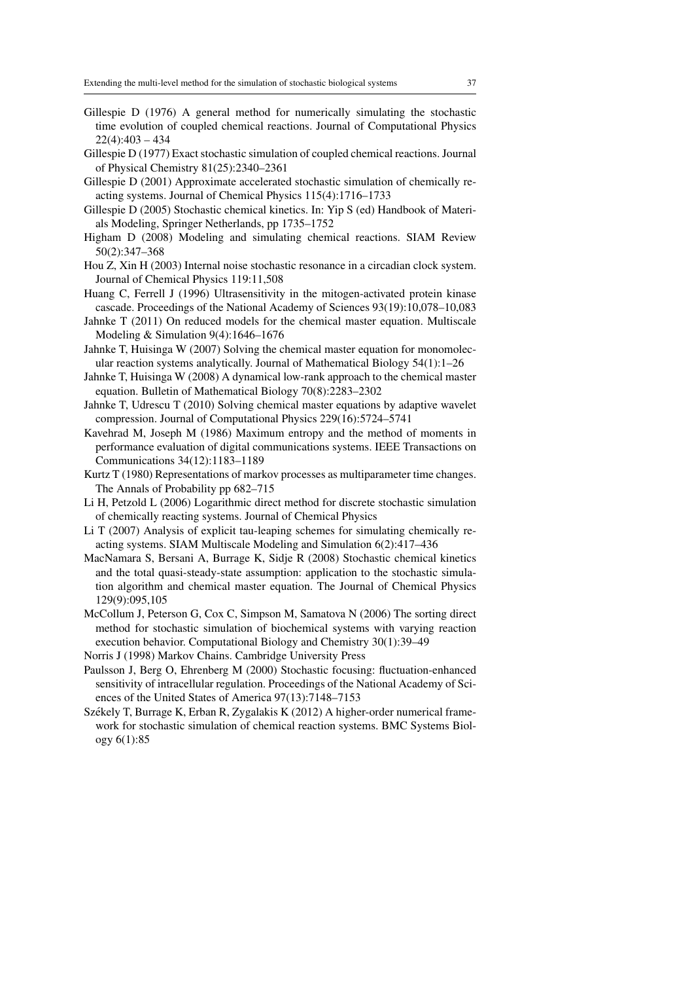- Gillespie D (1976) A general method for numerically simulating the stochastic time evolution of coupled chemical reactions. Journal of Computational Physics  $22(4):403 - 434$
- Gillespie D (1977) Exact stochastic simulation of coupled chemical reactions. Journal of Physical Chemistry 81(25):2340–2361
- Gillespie D (2001) Approximate accelerated stochastic simulation of chemically reacting systems. Journal of Chemical Physics 115(4):1716–1733
- Gillespie D (2005) Stochastic chemical kinetics. In: Yip S (ed) Handbook of Materials Modeling, Springer Netherlands, pp 1735–1752
- Higham D (2008) Modeling and simulating chemical reactions. SIAM Review 50(2):347–368
- Hou Z, Xin H (2003) Internal noise stochastic resonance in a circadian clock system. Journal of Chemical Physics 119:11,508
- Huang C, Ferrell J (1996) Ultrasensitivity in the mitogen-activated protein kinase cascade. Proceedings of the National Academy of Sciences 93(19):10,078–10,083
- Jahnke T (2011) On reduced models for the chemical master equation. Multiscale Modeling & Simulation 9(4):1646–1676
- Jahnke T, Huisinga W (2007) Solving the chemical master equation for monomolecular reaction systems analytically. Journal of Mathematical Biology 54(1):1–26
- Jahnke T, Huisinga W (2008) A dynamical low-rank approach to the chemical master equation. Bulletin of Mathematical Biology 70(8):2283–2302
- Jahnke T, Udrescu T (2010) Solving chemical master equations by adaptive wavelet compression. Journal of Computational Physics 229(16):5724–5741
- Kavehrad M, Joseph M (1986) Maximum entropy and the method of moments in performance evaluation of digital communications systems. IEEE Transactions on Communications 34(12):1183–1189
- Kurtz T (1980) Representations of markov processes as multiparameter time changes. The Annals of Probability pp 682–715
- Li H, Petzold L (2006) Logarithmic direct method for discrete stochastic simulation of chemically reacting systems. Journal of Chemical Physics
- Li T (2007) Analysis of explicit tau-leaping schemes for simulating chemically reacting systems. SIAM Multiscale Modeling and Simulation 6(2):417–436
- MacNamara S, Bersani A, Burrage K, Sidje R (2008) Stochastic chemical kinetics and the total quasi-steady-state assumption: application to the stochastic simulation algorithm and chemical master equation. The Journal of Chemical Physics 129(9):095,105
- McCollum J, Peterson G, Cox C, Simpson M, Samatova N (2006) The sorting direct method for stochastic simulation of biochemical systems with varying reaction execution behavior. Computational Biology and Chemistry 30(1):39–49

Norris J (1998) Markov Chains. Cambridge University Press

- Paulsson J, Berg O, Ehrenberg M (2000) Stochastic focusing: fluctuation-enhanced sensitivity of intracellular regulation. Proceedings of the National Academy of Sciences of the United States of America 97(13):7148–7153
- Székely T, Burrage K, Erban R, Zygalakis K (2012) A higher-order numerical framework for stochastic simulation of chemical reaction systems. BMC Systems Biology 6(1):85